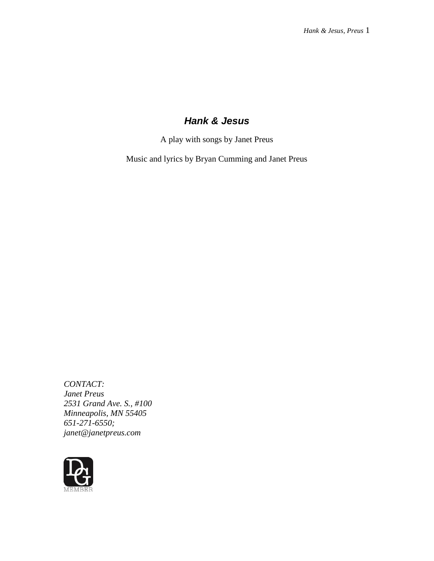# *Hank & Jesus*

A play with songs by Janet Preus

Music and lyrics by Bryan Cumming and Janet Preus

*CONTACT: Janet Preus 2531 Grand Ave. S., #100 Minneapolis, MN 55405 651-271-6550; janet@janetpreus.com*

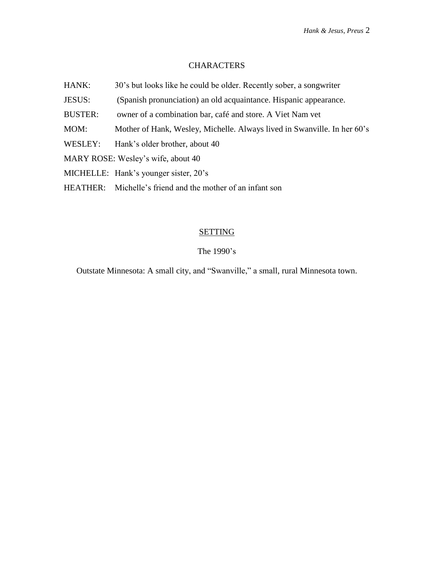# **CHARACTERS**

- HANK: 30's but looks like he could be older. Recently sober, a songwriter
- JESUS: (Spanish pronunciation) an old acquaintance. Hispanic appearance.
- BUSTER: owner of a combination bar, café and store. A Viet Nam vet
- MOM: Mother of Hank, Wesley, Michelle. Always lived in Swanville. In her 60's
- WESLEY: Hank's older brother, about 40
- MARY ROSE: Wesley's wife, about 40
- MICHELLE: Hank's younger sister, 20's
- HEATHER: Michelle's friend and the mother of an infant son

#### **SETTING**

# The 1990's

Outstate Minnesota: A small city, and "Swanville," a small, rural Minnesota town.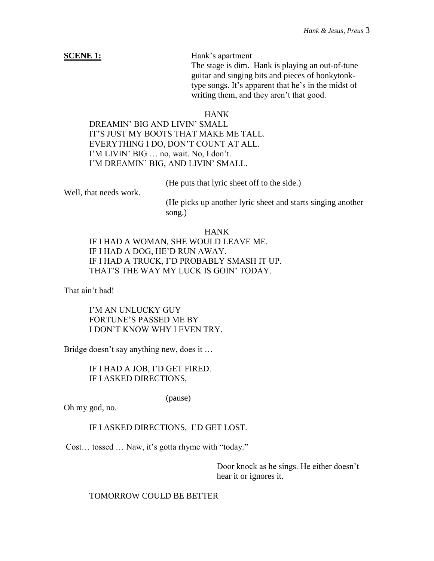**SCENE 1:** Hank's apartment

The stage is dim. Hank is playing an out-of-tune guitar and singing bits and pieces of honkytonktype songs. It's apparent that he's in the midst of writing them, and they aren't that good.

#### HANK

DREAMIN' BIG AND LIVIN' SMALL IT'S JUST MY BOOTS THAT MAKE ME TALL. EVERYTHING I DO, DON'T COUNT AT ALL. I'M LIVIN' BIG … no, wait. No, I don't. I'M DREAMIN' BIG, AND LIVIN' SMALL.

(He puts that lyric sheet off to the side.)

Well, that needs work.

(He picks up another lyric sheet and starts singing another song.)

HANK IF I HAD A WOMAN, SHE WOULD LEAVE ME. IF I HAD A DOG, HE'D RUN AWAY. IF I HAD A TRUCK, I'D PROBABLY SMASH IT UP. THAT'S THE WAY MY LUCK IS GOIN' TODAY.

That ain't bad!

I'M AN UNLUCKY GUY FORTUNE'S PASSED ME BY I DON'T KNOW WHY I EVEN TRY.

Bridge doesn't say anything new, does it ...

IF I HAD A JOB, I'D GET FIRED. IF I ASKED DIRECTIONS,

(pause)

Oh my god, no.

# IF I ASKED DIRECTIONS, I'D GET LOST.

Cost… tossed … Naw, it's gotta rhyme with "today."

Door knock as he sings. He either doesn't hear it or ignores it.

TOMORROW COULD BE BETTER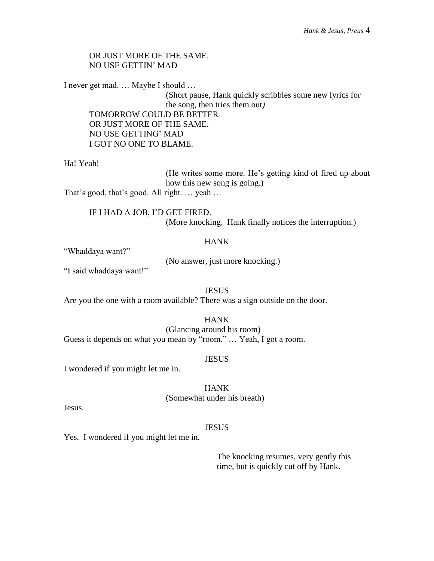# OR JUST MORE OF THE SAME. NO USE GETTIN' MAD

I never get mad. … Maybe I should …

(Short pause, Hank quickly scribbles some new lyrics for the song, then tries them out*)* TOMORROW COULD BE BETTER OR JUST MORE OF THE SAME. NO USE GETTING' MAD I GOT NO ONE TO BLAME.

Ha! Yeah!

(He writes some more. He's getting kind of fired up about how this new song is going.) That's good, that's good. All right. … yeah …

IF I HAD A JOB, I'D GET FIRED. (More knocking. Hank finally notices the interruption.)

# HANK

"Whaddaya want?"

(No answer, just more knocking.)

"I said whaddaya want!"

**JESUS** Are you the one with a room available? There was a sign outside on the door.

HANK (Glancing around his room) Guess it depends on what you mean by "room." … Yeah, I got a room.

#### **JESUS**

I wondered if you might let me in.

HANK (Somewhat under his breath)

Jesus.

#### JESUS

Yes. I wondered if you might let me in.

The knocking resumes, very gently this time, but is quickly cut off by Hank.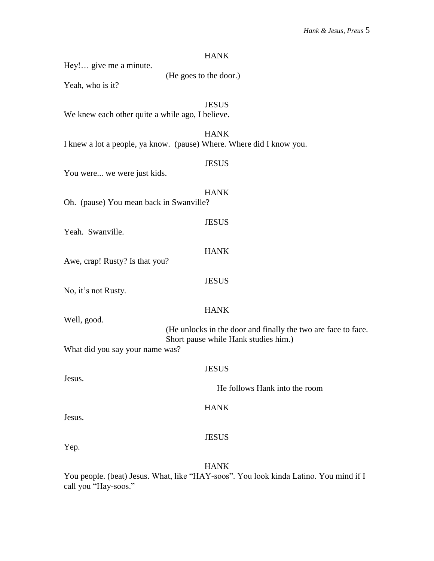| <b>HANK</b>                                                                                           |
|-------------------------------------------------------------------------------------------------------|
| Hey! give me a minute.<br>(He goes to the door.)                                                      |
| Yeah, who is it?                                                                                      |
| <b>JESUS</b>                                                                                          |
| We knew each other quite a while ago, I believe.                                                      |
| <b>HANK</b>                                                                                           |
| I knew a lot a people, ya know. (pause) Where. Where did I know you.                                  |
| <b>JESUS</b>                                                                                          |
| You were we were just kids.                                                                           |
| <b>HANK</b>                                                                                           |
| Oh. (pause) You mean back in Swanville?                                                               |
| <b>JESUS</b>                                                                                          |
| Yeah. Swanville.                                                                                      |
| <b>HANK</b>                                                                                           |
| Awe, crap! Rusty? Is that you?                                                                        |
| <b>JESUS</b>                                                                                          |
| No, it's not Rusty.                                                                                   |
| <b>HANK</b>                                                                                           |
| Well, good.                                                                                           |
| (He unlocks in the door and finally the two are face to face.<br>Short pause while Hank studies him.) |
| What did you say your name was?                                                                       |
| <b>JESUS</b>                                                                                          |
| Jesus.                                                                                                |
| He follows Hank into the room                                                                         |
| <b>HANK</b>                                                                                           |
| Jesus.                                                                                                |
| <b>JESUS</b>                                                                                          |
| Yep.                                                                                                  |
| <b>HANK</b>                                                                                           |

You people. (beat) Jesus. What, like "HAY-soos". You look kinda Latino. You mind if I call you "Hay-soos."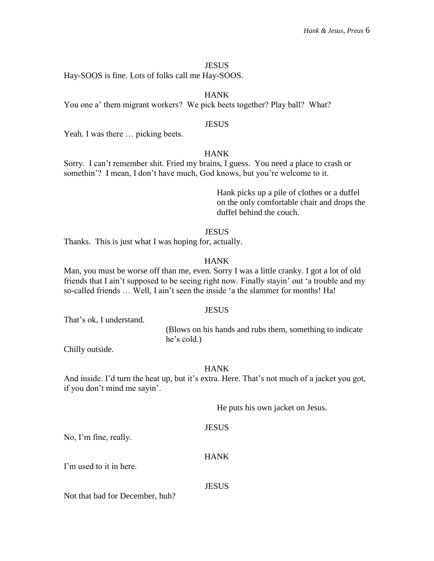#### **JESUS**

Hay-SOOS is fine. Lots of folks call me Hay-SOOS.

# HANK

You one a' them migrant workers? We pick beets together? Play ball? What?

#### **JESUS**

Yeah. I was there ... picking beets.

# HANK

Sorry. I can't remember shit. Fried my brains, I guess. You need a place to crash or somethin'? I mean, I don't have much, God knows, but you're welcome to it.

> Hank picks up a pile of clothes or a duffel on the only comfortable chair and drops the duffel behind the couch.

#### **JESUS**

Thanks. This is just what I was hoping for, actually.

#### HANK

Man, you must be worse off than me, even. Sorry I was a little cranky. I got a lot of old friends that I ain't supposed to be seeing right now. Finally stayin' out 'a trouble and my so-called friends … Well, I ain't seen the inside 'a the slammer for months! Ha!

#### **JESUS**

That's ok, I understand.

(Blows on his hands and rubs them, something to indicate he's cold.)

Chilly outside.

#### **HANK**

And inside. I'd turn the heat up, but it's extra. Here. That's not much of a jacket you got, if you don't mind me sayin'.

He puts his own jacket on Jesus.

#### JESUS

No, I'm fine, really.

I'm used to it in here.

#### JESUS

HANK

Not that bad for December, huh?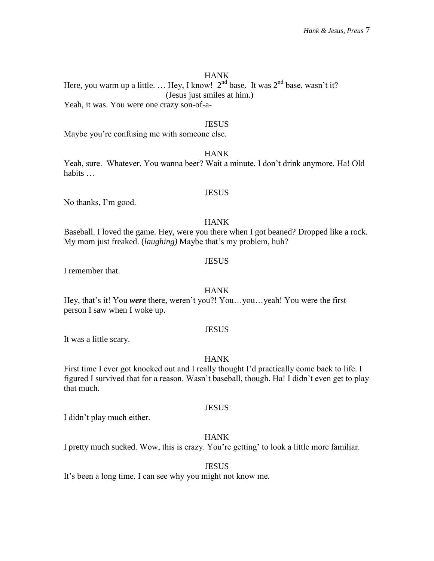Here, you warm up a little. ... Hey, I know!  $2<sup>nd</sup>$  base. It was  $2<sup>nd</sup>$  base, wasn't it? (Jesus just smiles at him.) Yeah, it was. You were one crazy son-of-a-

#### **JESUS**

Maybe you're confusing me with someone else.

# **HANK**

Yeah, sure. Whatever. You wanna beer? Wait a minute. I don't drink anymore. Ha! Old habits …

### **JESUS**

No thanks, I'm good.

# HANK

Baseball. I loved the game. Hey, were you there when I got beaned? Dropped like a rock. My mom just freaked. (*laughing)* Maybe that's my problem, huh?

#### JESUS

I remember that.

#### HANK

Hey, that's it! You *were* there, weren't you?! You…you…yeah! You were the first person I saw when I woke up.

#### **JESUS**

It was a little scary.

#### HANK

First time I ever got knocked out and I really thought I'd practically come back to life. I figured I survived that for a reason. Wasn't baseball, though. Ha! I didn't even get to play that much.

#### **JESUS**

I didn't play much either.

# HANK

I pretty much sucked. Wow, this is crazy. You're getting' to look a little more familiar.

#### **JESUS**

It's been a long time. I can see why you might not know me.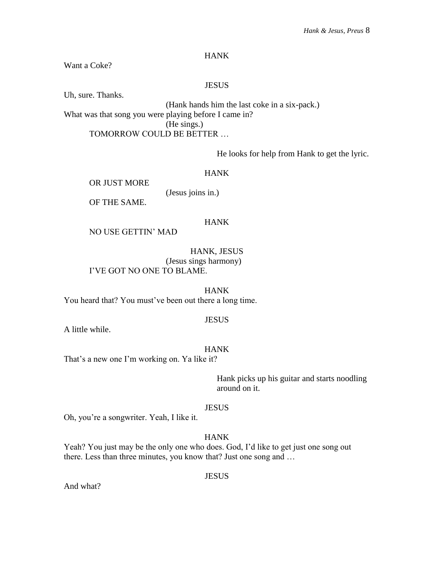Want a Coke?

## JESUS

Uh, sure. Thanks.

(Hank hands him the last coke in a six-pack.) What was that song you were playing before I came in? (He sings.) TOMORROW COULD BE BETTER …

He looks for help from Hank to get the lyric.

HANK

OR JUST MORE

(Jesus joins in.)

OF THE SAME.

# HANK

NO USE GETTIN' MAD

HANK, JESUS (Jesus sings harmony) I'VE GOT NO ONE TO BLAME.

HANK You heard that? You must've been out there a long time.

#### **JESUS**

A little while.

#### HANK

That's a new one I'm working on. Ya like it?

Hank picks up his guitar and starts noodling around on it.

#### **JESUS**

Oh, you're a songwriter. Yeah, I like it.

# HANK

Yeah? You just may be the only one who does. God, I'd like to get just one song out there. Less than three minutes, you know that? Just one song and …

JESUS

And what?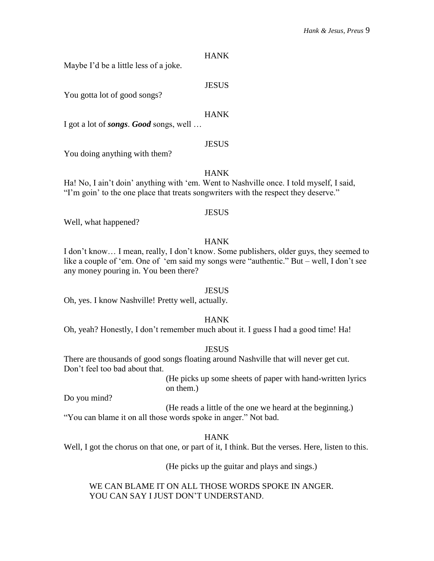Maybe I'd be a little less of a joke.

# **JESUS**

You gotta lot of good songs?

### **HANK**

I got a lot of *songs*. *Good* songs, well …

# **JESUS**

You doing anything with them?

# HANK

Ha! No, I ain't doin' anything with 'em. Went to Nashville once. I told myself, I said, "I'm goin' to the one place that treats songwriters with the respect they deserve."

#### **JESUS**

Well, what happened?

# HANK

I don't know… I mean, really, I don't know. Some publishers, older guys, they seemed to like a couple of 'em. One of 'em said my songs were "authentic." But – well, I don't see any money pouring in. You been there?

#### **JESUS**

Oh, yes. I know Nashville! Pretty well, actually.

# HANK

Oh, yeah? Honestly, I don't remember much about it. I guess I had a good time! Ha!

#### **JESUS**

There are thousands of good songs floating around Nashville that will never get cut. Don't feel too bad about that.

> (He picks up some sheets of paper with hand-written lyrics on them.)

Do you mind?

(He reads a little of the one we heard at the beginning.) "You can blame it on all those words spoke in anger." Not bad.

# HANK

Well, I got the chorus on that one, or part of it, I think. But the verses. Here, listen to this.

(He picks up the guitar and plays and sings.)

WE CAN BLAME IT ON ALL THOSE WORDS SPOKE IN ANGER. YOU CAN SAY I JUST DON'T UNDERSTAND.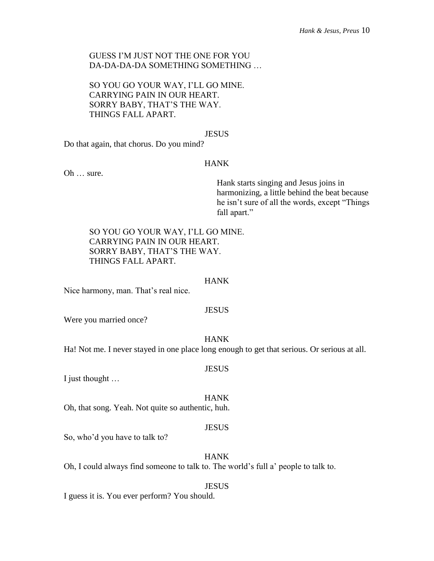# GUESS I'M JUST NOT THE ONE FOR YOU DA-DA-DA-DA SOMETHING SOMETHING …

SO YOU GO YOUR WAY, I'LL GO MINE. CARRYING PAIN IN OUR HEART. SORRY BABY, THAT'S THE WAY. THINGS FALL APART.

#### **JESUS**

Do that again, that chorus. Do you mind?

# HANK

Oh … sure.

Hank starts singing and Jesus joins in harmonizing, a little behind the beat because he isn't sure of all the words, except "Things fall apart."

SO YOU GO YOUR WAY, I'LL GO MINE. CARRYING PAIN IN OUR HEART. SORRY BABY, THAT'S THE WAY. THINGS FALL APART.

#### HANK

Nice harmony, man. That's real nice.

#### **JESUS**

Were you married once?

#### HANK

Ha! Not me. I never stayed in one place long enough to get that serious. Or serious at all.

#### **JESUS**

I just thought …

#### HANK

Oh, that song. Yeah. Not quite so authentic, huh.

#### JESUS

So, who'd you have to talk to?

# HANK

Oh, I could always find someone to talk to. The world's full a' people to talk to.

#### **JESUS**

I guess it is. You ever perform? You should.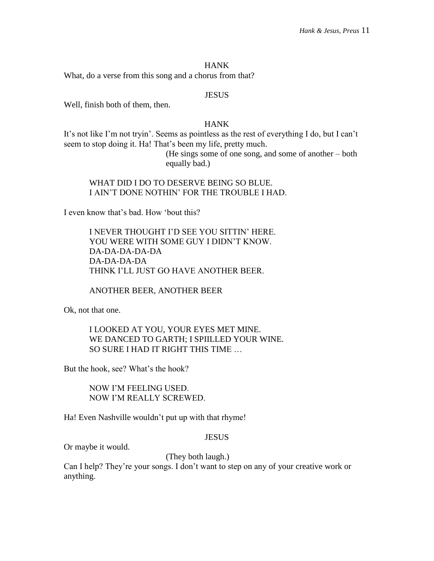What, do a verse from this song and a chorus from that?

#### JESUS

Well, finish both of them, then.

# HANK

It's not like I'm not tryin'. Seems as pointless as the rest of everything I do, but I can't seem to stop doing it. Ha! That's been my life, pretty much.

> (He sings some of one song, and some of another – both equally bad.)

# WHAT DID I DO TO DESERVE BEING SO BLUE. I AIN'T DONE NOTHIN' FOR THE TROUBLE I HAD.

I even know that's bad. How 'bout this?

I NEVER THOUGHT I'D SEE YOU SITTIN' HERE. YOU WERE WITH SOME GUY I DIDN'T KNOW. DA-DA-DA-DA-DA DA-DA-DA-DA THINK I'LL JUST GO HAVE ANOTHER BEER.

ANOTHER BEER, ANOTHER BEER

Ok, not that one.

I LOOKED AT YOU, YOUR EYES MET MINE. WE DANCED TO GARTH; I SPIILLED YOUR WINE. SO SURE I HAD IT RIGHT THIS TIME …

But the hook, see? What's the hook?

NOW I'M FEELING USED. NOW I'M REALLY SCREWED.

Ha! Even Nashville wouldn't put up with that rhyme!

#### **JESUS**

Or maybe it would.

(They both laugh.)

Can I help? They're your songs. I don't want to step on any of your creative work or anything.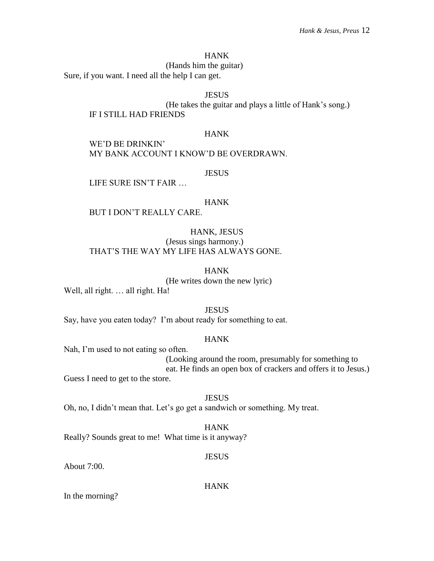# (Hands him the guitar)

Sure, if you want. I need all the help I can get.

# **JESUS**

(He takes the guitar and plays a little of Hank's song.) IF I STILL HAD FRIENDS

#### HANK

WE'D BE DRINKIN' MY BANK ACCOUNT I KNOW'D BE OVERDRAWN.

#### **JESUS**

LIFE SURE ISN'T FAIR …

#### HANK

BUT I DON'T REALLY CARE.

# HANK, JESUS

(Jesus sings harmony.) THAT'S THE WAY MY LIFE HAS ALWAYS GONE.

# HANK

(He writes down the new lyric)

Well, all right. ... all right. Ha!

#### **JESUS**

Say, have you eaten today? I'm about ready for something to eat.

# HANK

Nah, I'm used to not eating so often.

(Looking around the room, presumably for something to eat. He finds an open box of crackers and offers it to Jesus.)

Guess I need to get to the store.

#### **JESUS**

Oh, no, I didn't mean that. Let's go get a sandwich or something. My treat.

#### HANK

Really? Sounds great to me! What time is it anyway?

# **JESUS**

About 7:00.

#### HANK

In the morning?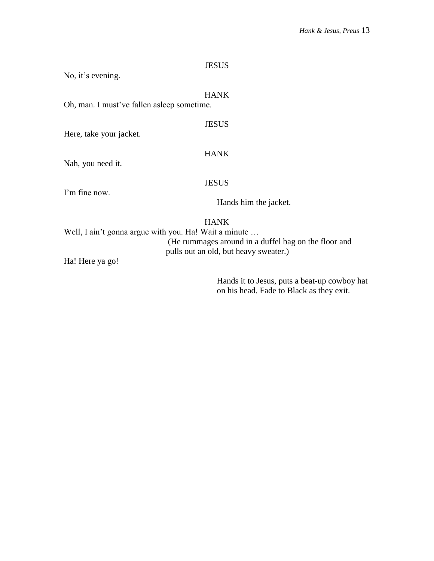| Oh, man. I must've fallen asleep sometime.            | <b>HANK</b>           |
|-------------------------------------------------------|-----------------------|
| Here, take your jacket.                               | <b>JESUS</b>          |
| Nah, you need it.                                     | <b>HANK</b>           |
|                                                       | <b>JESUS</b>          |
| I'm fine now.                                         | Hands him the jacket. |
| Well, I ain't gonna argue with you. Ha! Wait a minute | <b>HANK</b>           |

(He rummages around in a duffel bag on the floor and pulls out an old, but heavy sweater.)

JESUS

Ha! Here ya go!

No, it's evening.

Hands it to Jesus, puts a beat-up cowboy hat on his head. Fade to Black as they exit.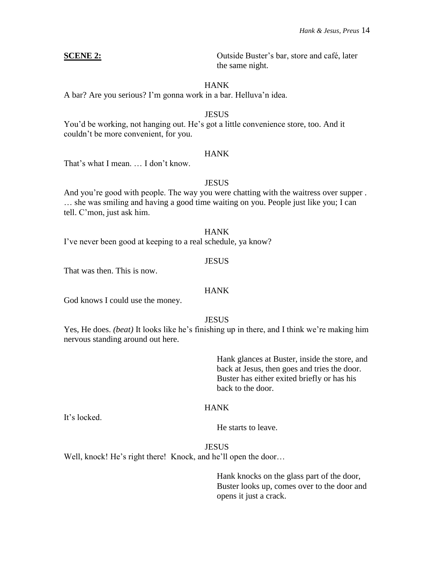**SCENE 2:** Outside Buster's bar, store and café, later the same night.

# HANK

A bar? Are you serious? I'm gonna work in a bar. Helluva'n idea.

### **JESUS**

You'd be working, not hanging out. He's got a little convenience store, too. And it couldn't be more convenient, for you.

# **HANK**

That's what I mean. … I don't know.

# **JESUS**

And you're good with people. The way you were chatting with the waitress over supper . … she was smiling and having a good time waiting on you. People just like you; I can tell. C'mon, just ask him.

#### HANK

I've never been good at keeping to a real schedule, ya know?

# **JESUS**

That was then. This is now.

# **HANK**

God knows I could use the money.

# **JESUS**

Yes, He does. *(beat)* It looks like he's finishing up in there, and I think we're making him nervous standing around out here.

> Hank glances at Buster, inside the store, and back at Jesus, then goes and tries the door. Buster has either exited briefly or has his back to the door.

# **HANK**

It's locked.

He starts to leave.

JESUS

Well, knock! He's right there! Knock, and he'll open the door...

Hank knocks on the glass part of the door, Buster looks up, comes over to the door and opens it just a crack.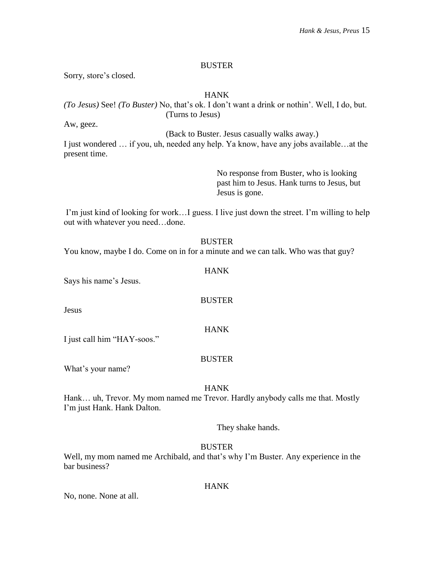### BUSTER

Sorry, store's closed.

# HANK

*(To Jesus)* See! *(To Buster)* No, that's ok. I don't want a drink or nothin'. Well, I do, but. (Turns to Jesus)

Aw, geez.

(Back to Buster. Jesus casually walks away.)

I just wondered … if you, uh, needed any help. Ya know, have any jobs available…at the present time.

> No response from Buster, who is looking past him to Jesus. Hank turns to Jesus, but Jesus is gone.

I'm just kind of looking for work…I guess. I live just down the street. I'm willing to help out with whatever you need…done.

#### BUSTER

You know, maybe I do. Come on in for a minute and we can talk. Who was that guy?

# HANK

**BUSTER** 

Says his name's Jesus.

Jesus

#### HANK

I just call him "HAY-soos."

#### **BUSTER**

What's your name?

#### HANK

Hank… uh, Trevor. My mom named me Trevor. Hardly anybody calls me that. Mostly I'm just Hank. Hank Dalton.

They shake hands.

# BUSTER

Well, my mom named me Archibald, and that's why I'm Buster. Any experience in the bar business?

# HANK

No, none. None at all.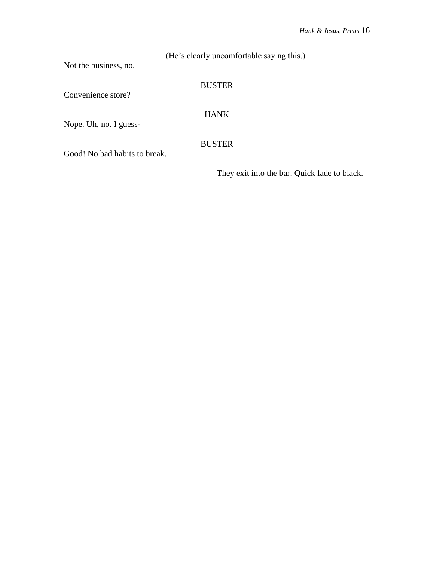(He's clearly uncomfortable saying this.)

Not the business, no.

# BUSTER

Convenience store?

HANK

Nope. Uh, no. I guess-

BUSTER

Good! No bad habits to break.

They exit into the bar. Quick fade to black.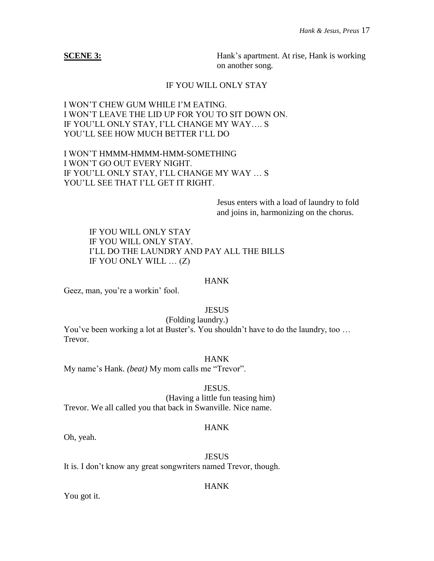**SCENE 3:** Hank's apartment. At rise, Hank is working on another song*.*

# IF YOU WILL ONLY STAY

# I WON'T CHEW GUM WHILE I'M EATING. I WON'T LEAVE THE LID UP FOR YOU TO SIT DOWN ON. IF YOU'LL ONLY STAY, I'LL CHANGE MY WAY…. S YOU'LL SEE HOW MUCH BETTER I'LL DO

I WON'T HMMM-HMMM-HMM-SOMETHING I WON'T GO OUT EVERY NIGHT. IF YOU'LL ONLY STAY, I'LL CHANGE MY WAY … S YOU'LL SEE THAT I'LL GET IT RIGHT.

> Jesus enters with a load of laundry to fold and joins in, harmonizing on the chorus.

IF YOU WILL ONLY STAY IF YOU WILL ONLY STAY. I'LL DO THE LAUNDRY AND PAY ALL THE BILLS IF YOU ONLY WILL … (Z)

### HANK

Geez, man, you're a workin' fool.

# **JESUS**

(Folding laundry.) You've been working a lot at Buster's. You shouldn't have to do the laundry, too … Trevor.

HANK

My name's Hank. *(beat)* My mom calls me "Trevor".

#### JESUS.

(Having a little fun teasing him) Trevor. We all called you that back in Swanville. Nice name.

# HANK

Oh, yeah.

**JESUS** It is. I don't know any great songwriters named Trevor, though.

# HANK

You got it.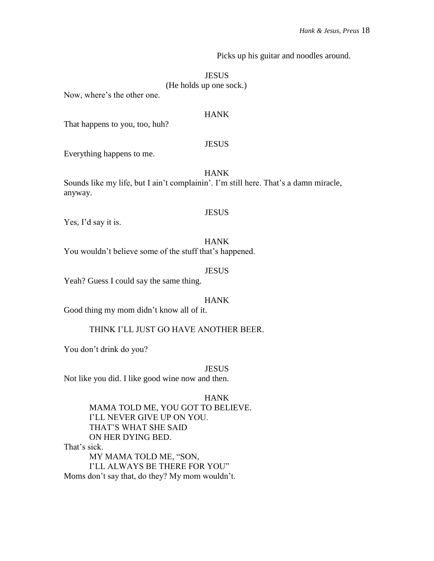Picks up his guitar and noodles around.

#### **JESUS**

#### (He holds up one sock.)

Now, where's the other one.

# HANK

That happens to you, too, huh?

### JESUS

Everything happens to me.

# HANK

Sounds like my life, but I ain't complainin'. I'm still here. That's a damn miracle, anyway.

#### JESUS

Yes, I'd say it is.

## HANK

You wouldn't believe some of the stuff that's happened.

# **JESUS**

Yeah? Guess I could say the same thing.

# HANK

Good thing my mom didn't know all of it.

#### THINK I'LL JUST GO HAVE ANOTHER BEER.

You don't drink do you?

#### JESUS

Not like you did. I like good wine now and then.

#### HANK

MAMA TOLD ME, YOU GOT TO BELIEVE. I'LL NEVER GIVE UP ON YOU. THAT'S WHAT SHE SAID ON HER DYING BED. That's sick. MY MAMA TOLD ME, "SON, I'LL ALWAYS BE THERE FOR YOU"

Moms don't say that, do they? My mom wouldn't.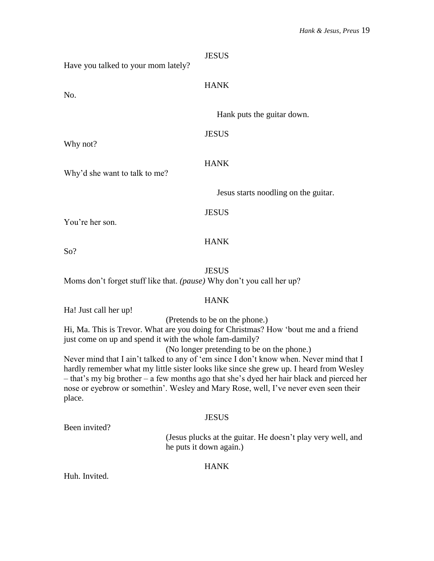| Have you talked to your mom lately?                                   | <b>JESUS</b>                         |
|-----------------------------------------------------------------------|--------------------------------------|
| No.                                                                   | <b>HANK</b>                          |
|                                                                       | Hank puts the guitar down.           |
| Why not?                                                              | <b>JESUS</b>                         |
| Why'd she want to talk to me?                                         | <b>HANK</b>                          |
|                                                                       | Jesus starts noodling on the guitar. |
| You're her son.                                                       | <b>JESUS</b>                         |
| So?                                                                   | <b>HANK</b>                          |
| Moms don't forget stuff like that. (pause) Why don't you call her up? | <b>JESUS</b>                         |

Ha! Just call her up!

(Pretends to be on the phone.)

Hi, Ma. This is Trevor. What are you doing for Christmas? How 'bout me and a friend just come on up and spend it with the whole fam-damily?

(No longer pretending to be on the phone.)

Never mind that I ain't talked to any of 'em since I don't know when. Never mind that I hardly remember what my little sister looks like since she grew up. I heard from Wesley – that's my big brother – a few months ago that she's dyed her hair black and pierced her nose or eyebrow or somethin'. Wesley and Mary Rose, well, I've never even seen their place.

# **JESUS**

Been invited?

(Jesus plucks at the guitar. He doesn't play very well, and he puts it down again.)

# HANK

Huh. Invited.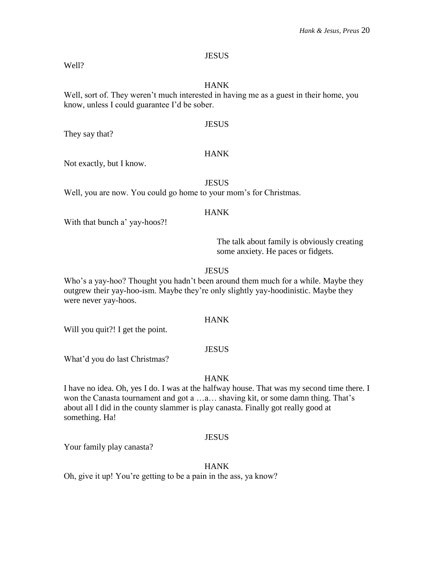#### **JESUS**

Well?

# HANK

Well, sort of. They weren't much interested in having me as a guest in their home, you know, unless I could guarantee I'd be sober.

# **JESUS**

They say that?

# **HANK**

Not exactly, but I know.

**JESUS** 

Well, you are now. You could go home to your mom's for Christmas.

#### HANK

With that bunch a' yay-hoos?!

The talk about family is obviously creating some anxiety. He paces or fidgets.

#### **JESUS**

Who's a yay-hoo? Thought you hadn't been around them much for a while. Maybe they outgrew their yay-hoo-ism. Maybe they're only slightly yay-hoodinistic. Maybe they were never yay-hoos.

# HANK

Will you quit?! I get the point.

#### **JESUS**

What'd you do last Christmas?

#### HANK

I have no idea. Oh, yes I do. I was at the halfway house. That was my second time there. I won the Canasta tournament and got a …a… shaving kit, or some damn thing. That's about all I did in the county slammer is play canasta. Finally got really good at something. Ha!

#### **JESUS**

Your family play canasta?

#### **HANK**

Oh, give it up! You're getting to be a pain in the ass, ya know?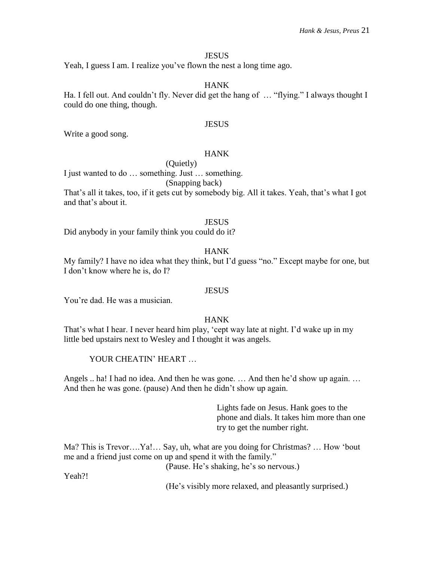# **JESUS**

Yeah, I guess I am. I realize you've flown the nest a long time ago.

# HANK

Ha. I fell out. And couldn't fly. Never did get the hang of … "flying." I always thought I could do one thing, though.

### **JESUS**

Write a good song.

# **HANK**

(Quietly)

I just wanted to do … something. Just … something.

# (Snapping back)

That's all it takes, too, if it gets cut by somebody big. All it takes. Yeah, that's what I got and that's about it.

#### **JESUS**

Did anybody in your family think you could do it?

# HANK

My family? I have no idea what they think, but I'd guess "no." Except maybe for one, but I don't know where he is, do I?

#### **JESUS**

You're dad. He was a musician.

# HANK

That's what I hear. I never heard him play, 'cept way late at night. I'd wake up in my little bed upstairs next to Wesley and I thought it was angels.

YOUR CHEATIN' HEART ...

Angels .. ha! I had no idea. And then he was gone. … And then he'd show up again. … And then he was gone. (pause) And then he didn't show up again.

> Lights fade on Jesus. Hank goes to the phone and dials. It takes him more than one try to get the number right.

Ma? This is Trevor….Ya!… Say, uh, what are you doing for Christmas? … How 'bout me and a friend just come on up and spend it with the family."

(Pause. He's shaking, he's so nervous.)

Yeah?!

(He's visibly more relaxed, and pleasantly surprised.)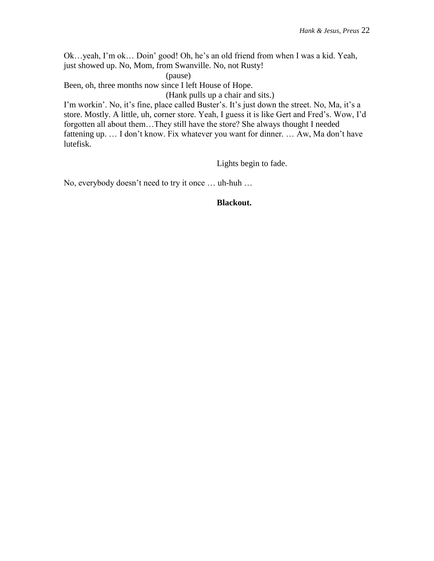Ok…yeah, I'm ok… Doin' good! Oh, he's an old friend from when I was a kid. Yeah, just showed up. No, Mom, from Swanville. No, not Rusty!

(pause)

Been, oh, three months now since I left House of Hope.

(Hank pulls up a chair and sits.)

I'm workin'. No, it's fine, place called Buster's. It's just down the street. No, Ma, it's a store. Mostly. A little, uh, corner store. Yeah, I guess it is like Gert and Fred's. Wow, I'd forgotten all about them…They still have the store? She always thought I needed fattening up. … I don't know. Fix whatever you want for dinner. … Aw, Ma don't have lutefisk.

Lights begin to fade.

No, everybody doesn't need to try it once … uh-huh …

# **Blackout.**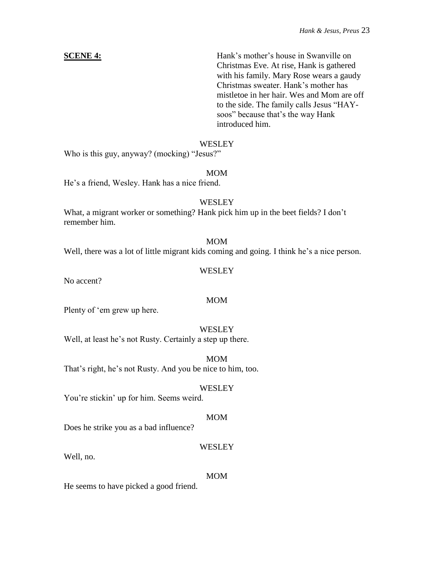**SCENE 4:** Hank's mother's house in Swanville on Christmas Eve. At rise, Hank is gathered with his family. Mary Rose wears a gaudy Christmas sweater. Hank's mother has mistletoe in her hair. Wes and Mom are off to the side. The family calls Jesus "HAYsoos" because that's the way Hank introduced him.

# **WESLEY**

Who is this guy, anyway? (mocking) "Jesus?"

# MOM

He's a friend, Wesley. Hank has a nice friend.

# **WESLEY**

What, a migrant worker or something? Hank pick him up in the beet fields? I don't remember him.

#### MOM

Well, there was a lot of little migrant kids coming and going. I think he's a nice person.

# **WESLEY**

No accent?

# MOM

Plenty of 'em grew up here.

#### **WESLEY**

Well, at least he's not Rusty. Certainly a step up there.

MOM That's right, he's not Rusty. And you be nice to him, too.

#### **WESLEY**

You're stickin' up for him. Seems weird.

#### MOM

Does he strike you as a bad influence?

#### WESLEY

Well, no.

#### MOM

He seems to have picked a good friend.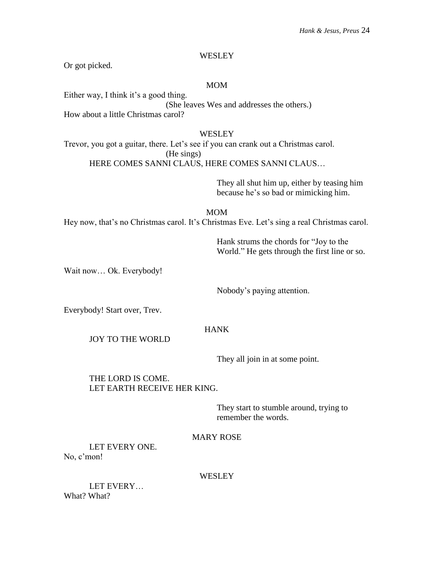# **WESLEY**

Or got picked.

# MOM

Either way, I think it's a good thing. (She leaves Wes and addresses the others.) How about a little Christmas carol?

# **WESLEY**

Trevor, you got a guitar, there. Let's see if you can crank out a Christmas carol. (He sings) HERE COMES SANNI CLAUS, HERE COMES SANNI CLAUS…

> They all shut him up, either by teasing him because he's so bad or mimicking him.

MOM Hey now, that's no Christmas carol. It's Christmas Eve. Let's sing a real Christmas carol.

> Hank strums the chords for "Joy to the World." He gets through the first line or so.

Wait now… Ok. Everybody!

Nobody's paying attention.

Everybody! Start over, Trev.

#### HANK

JOY TO THE WORLD

They all join in at some point.

# THE LORD IS COME. LET EARTH RECEIVE HER KING.

They start to stumble around, trying to remember the words.

# MARY ROSE

LET EVERY ONE. No, c'mon!

#### WESLEY

LET EVERY… What? What?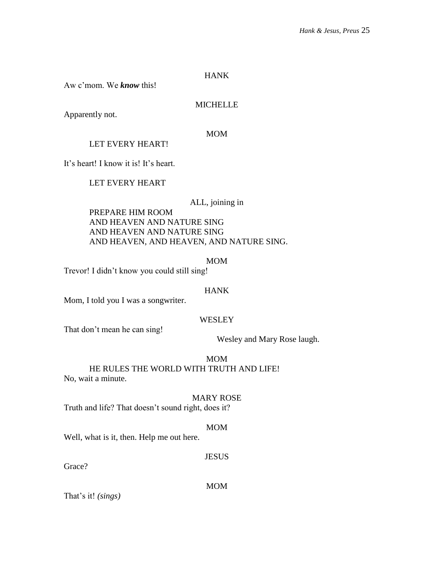Aw c'mom. We *know* this!

# MICHELLE

Apparently not.

# MOM

LET EVERY HEART!

It's heart! I know it is! It's heart.

LET EVERY HEART

# ALL, joining in

PREPARE HIM ROOM AND HEAVEN AND NATURE SING AND HEAVEN AND NATURE SING AND HEAVEN, AND HEAVEN, AND NATURE SING.

MOM

Trevor! I didn't know you could still sing!

#### **HANK**

Mom, I told you I was a songwriter.

# **WESLEY**

That don't mean he can sing!

Wesley and Mary Rose laugh.

MOM

# HE RULES THE WORLD WITH TRUTH AND LIFE!

No, wait a minute.

#### MARY ROSE

Truth and life? That doesn't sound right, does it?

#### MOM

Well, what is it, then. Help me out here.

# **JESUS**

Grace?

MOM

That's it! *(sings)*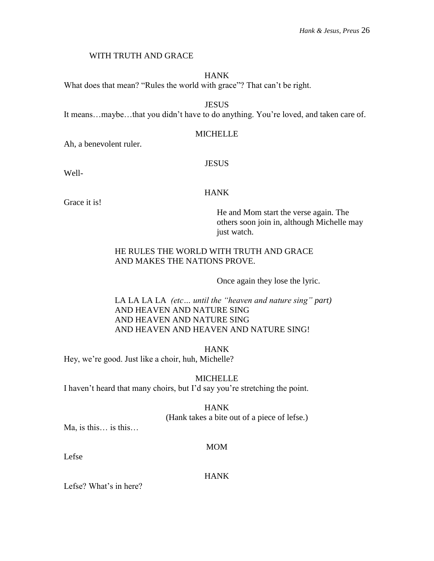# WITH TRUTH AND GRACE

# HANK

What does that mean? "Rules the world with grace"? That can't be right.

**JESUS** 

It means…maybe…that you didn't have to do anything. You're loved, and taken care of.

# MICHELLE

Ah, a benevolent ruler.

# JESUS

Well-

# HANK

Grace it is!

He and Mom start the verse again. The others soon join in, although Michelle may just watch.

# HE RULES THE WORLD WITH TRUTH AND GRACE AND MAKES THE NATIONS PROVE.

Once again they lose the lyric.

LA LA LA LA *(etc… until the "heaven and nature sing" part)* AND HEAVEN AND NATURE SING AND HEAVEN AND NATURE SING AND HEAVEN AND HEAVEN AND NATURE SING!

HANK

Hey, we're good. Just like a choir, huh, Michelle?

MICHELLE I haven't heard that many choirs, but I'd say you're stretching the point.

> HANK (Hank takes a bite out of a piece of lefse.)

Ma, is this… is this…

MOM

Lefse

HANK

Lefse? What's in here?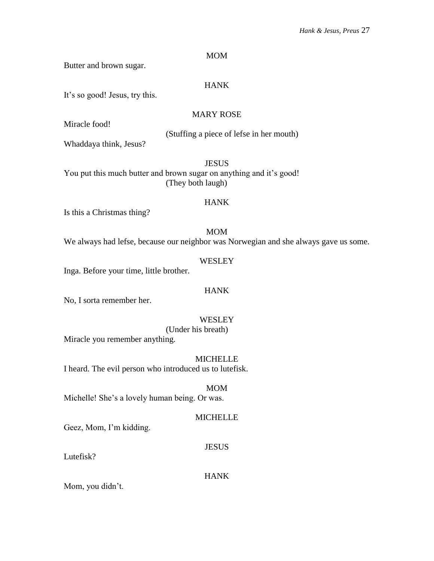# MOM

Butter and brown sugar.

# HANK

It's so good! Jesus, try this.

# MARY ROSE

Miracle food!

(Stuffing a piece of lefse in her mouth)

Whaddaya think, Jesus?

**JESUS** You put this much butter and brown sugar on anything and it's good! (They both laugh)

# HANK

Is this a Christmas thing?

# MOM

We always had lefse, because our neighbor was Norwegian and she always gave us some.

# **WESLEY**

Inga. Before your time, little brother.

# HANK

No, I sorta remember her.

# **WESLEY**

(Under his breath)

Miracle you remember anything.

# **MICHELLE**

I heard. The evil person who introduced us to lutefisk.

# MOM

Michelle! She's a lovely human being. Or was.

# MICHELLE

Geez, Mom, I'm kidding.

# JESUS

Lutefisk?

# HANK

Mom, you didn't.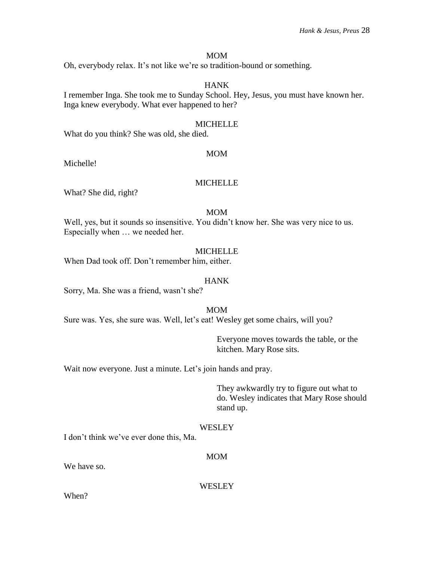#### MOM

Oh, everybody relax. It's not like we're so tradition-bound or something.

# HANK

I remember Inga. She took me to Sunday School. Hey, Jesus, you must have known her. Inga knew everybody. What ever happened to her?

#### MICHELLE

What do you think? She was old, she died.

#### MOM

Michelle!

# MICHELLE

What? She did, right?

#### MOM

Well, yes, but it sounds so insensitive. You didn't know her. She was very nice to us. Especially when … we needed her.

#### MICHELLE

When Dad took off. Don't remember him, either.

#### HANK

Sorry, Ma. She was a friend, wasn't she?

#### MOM

Sure was. Yes, she sure was. Well, let's eat! Wesley get some chairs, will you?

Everyone moves towards the table, or the kitchen. Mary Rose sits.

Wait now everyone. Just a minute. Let's join hands and pray.

They awkwardly try to figure out what to do. Wesley indicates that Mary Rose should stand up.

#### **WESLEY**

I don't think we've ever done this, Ma.

# MOM

We have so.

**WESLEY** 

When?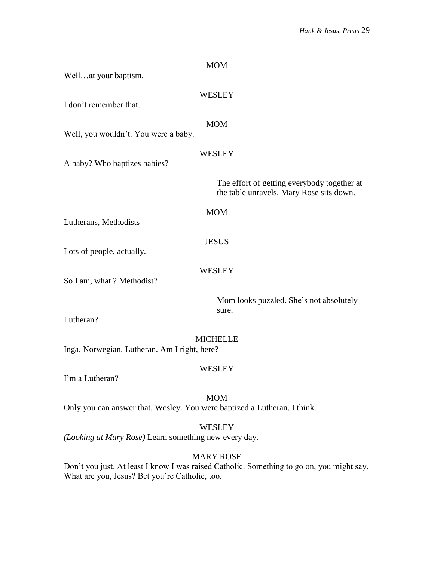| Wellat your baptism.                                            | <b>MOM</b>                                                                              |
|-----------------------------------------------------------------|-----------------------------------------------------------------------------------------|
| I don't remember that.                                          | <b>WESLEY</b>                                                                           |
| Well, you wouldn't. You were a baby.                            | <b>MOM</b>                                                                              |
| A baby? Who baptizes babies?                                    | WESLEY                                                                                  |
|                                                                 | The effort of getting everybody together at<br>the table unravels. Mary Rose sits down. |
| Lutherans, Methodists -                                         | <b>MOM</b>                                                                              |
| Lots of people, actually.                                       | <b>JESUS</b>                                                                            |
| So I am, what ? Methodist?                                      | <b>WESLEY</b>                                                                           |
| Lutheran?                                                       | Mom looks puzzled. She's not absolutely<br>sure.                                        |
| <b>MICHELLE</b><br>Inga. Norwegian. Lutheran. Am I right, here? |                                                                                         |
| I'm a Lutheran?                                                 | <b>WESLEY</b>                                                                           |
|                                                                 | <b>MOM</b>                                                                              |

Only you can answer that, Wesley. You were baptized a Lutheran. I think.

WESLEY

*(Looking at Mary Rose)* Learn something new every day.

MARY ROSE

Don't you just. At least I know I was raised Catholic. Something to go on, you might say. What are you, Jesus? Bet you're Catholic, too.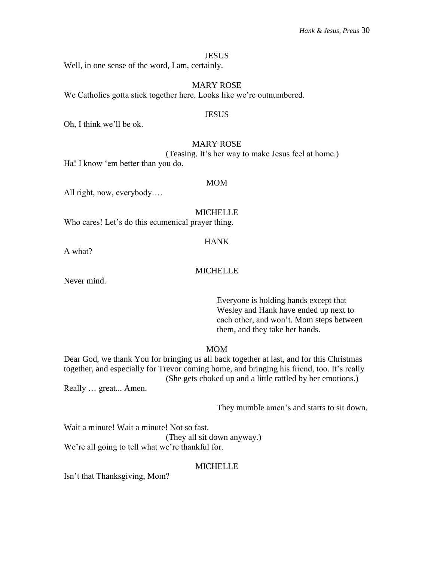#### **JESUS**

Well, in one sense of the word, I am, certainly.

MARY ROSE We Catholics gotta stick together here. Looks like we're outnumbered.

#### **JESUS**

Oh, I think we'll be ok.

### MARY ROSE

(Teasing. It's her way to make Jesus feel at home.) Ha! I know 'em better than you do.

#### MOM

All right, now, everybody….

MICHELLE

Who cares! Let's do this ecumenical prayer thing.

#### HANK

A what?

#### **MICHELLE**

Never mind.

Everyone is holding hands except that Wesley and Hank have ended up next to each other, and won't. Mom steps between them, and they take her hands.

#### MOM

Dear God, we thank You for bringing us all back together at last, and for this Christmas together, and especially for Trevor coming home, and bringing his friend, too. It's really (She gets choked up and a little rattled by her emotions.)

Really … great... Amen.

They mumble amen's and starts to sit down.

Wait a minute! Wait a minute! Not so fast.

(They all sit down anyway.) We're all going to tell what we're thankful for.

#### **MICHELLE**

Isn't that Thanksgiving, Mom?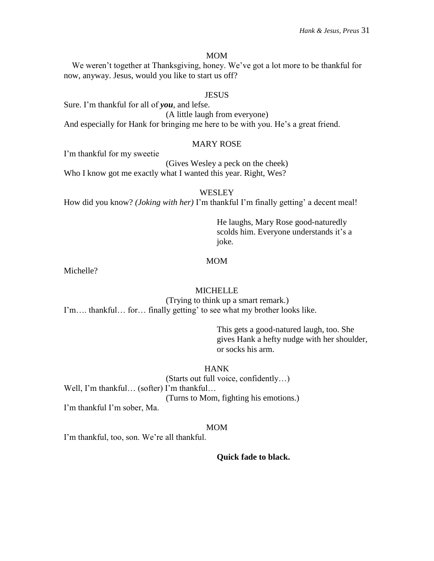#### MOM

We weren't together at Thanksgiving, honey. We've got a lot more to be thankful for now, anyway. Jesus, would you like to start us off?

#### **JESUS**

Sure. I'm thankful for all of *you*, and lefse. (A little laugh from everyone) And especially for Hank for bringing me here to be with you. He's a great friend.

#### MARY ROSE

I'm thankful for my sweetie

(Gives Wesley a peck on the cheek) Who I know got me exactly what I wanted this year. Right, Wes?

#### **WESLEY**

How did you know? *(Joking with her)* I'm thankful I'm finally getting' a decent meal!

He laughs, Mary Rose good-naturedly scolds him. Everyone understands it's a joke*.*

#### MOM

Michelle?

#### **MICHELLE**

(Trying to think up a smart remark.) I'm…. thankful… for… finally getting' to see what my brother looks like.

> This gets a good-natured laugh, too. She gives Hank a hefty nudge with her shoulder, or socks his arm.

#### **HANK**

(Starts out full voice, confidently…) Well, I'm thankful... (softer) I'm thankful... (Turns to Mom, fighting his emotions.) I'm thankful I'm sober, Ma.

#### MOM

I'm thankful, too, son. We're all thankful.

**Quick fade to black.**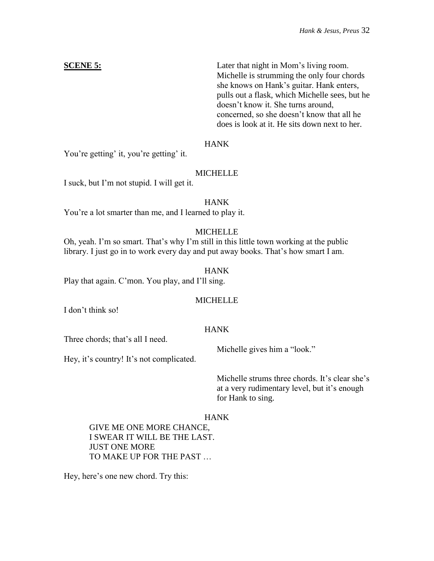**SCENE 5:** Later that night in Mom's living room. Michelle is strumming the only four chords she knows on Hank's guitar. Hank enters, pulls out a flask, which Michelle sees, but he doesn't know it. She turns around, concerned, so she doesn't know that all he does is look at it. He sits down next to her.

# HANK

You're getting' it, you're getting' it.

# MICHELLE

I suck, but I'm not stupid. I will get it.

# **HANK**

You're a lot smarter than me, and I learned to play it.

# **MICHELLE**

Oh, yeah. I'm so smart. That's why I'm still in this little town working at the public library. I just go in to work every day and put away books. That's how smart I am.

# HANK

Play that again. C'mon. You play, and I'll sing.

# **MICHELLE**

I don't think so!

# HANK

Three chords; that's all I need.

Michelle gives him a "look."

Hey, it's country! It's not complicated.

Michelle strums three chords. It's clear she's at a very rudimentary level, but it's enough for Hank to sing.

# **HANK**

GIVE ME ONE MORE CHANCE, I SWEAR IT WILL BE THE LAST. JUST ONE MORE TO MAKE UP FOR THE PAST …

Hey, here's one new chord. Try this: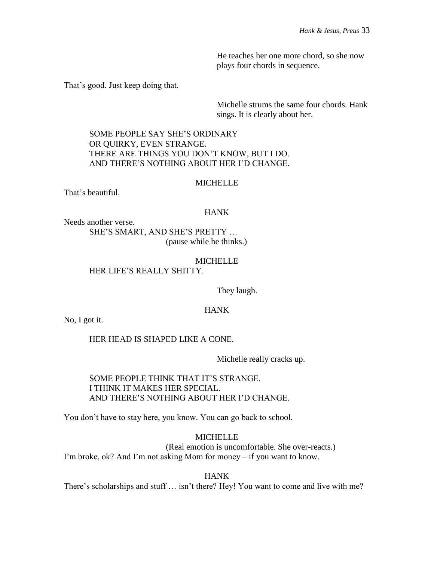He teaches her one more chord, so she now plays four chords in sequence.

That's good. Just keep doing that.

Michelle strums the same four chords. Hank sings. It is clearly about her.

SOME PEOPLE SAY SHE'S ORDINARY OR QUIRKY, EVEN STRANGE. THERE ARE THINGS YOU DON'T KNOW, BUT I DO. AND THERE'S NOTHING ABOUT HER I'D CHANGE.

#### MICHELLE

That's beautiful.

#### HANK

Needs another verse.

SHE'S SMART, AND SHE'S PRETTY … (pause while he thinks.)

#### **MICHELLE** HER LIFE'S REALLY SHITTY.

They laugh.

#### HANK

No, I got it.

HER HEAD IS SHAPED LIKE A CONE.

Michelle really cracks up.

SOME PEOPLE THINK THAT IT'S STRANGE. I THINK IT MAKES HER SPECIAL. AND THERE'S NOTHING ABOUT HER I'D CHANGE.

You don't have to stay here, you know. You can go back to school.

# **MICHELLE**

(Real emotion is uncomfortable. She over-reacts.) I'm broke, ok? And I'm not asking Mom for money – if you want to know.

HANK

There's scholarships and stuff … isn't there? Hey! You want to come and live with me?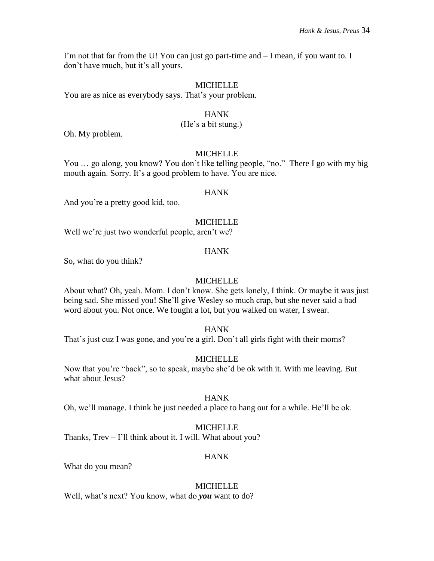I'm not that far from the U! You can just go part-time and  $-I$  mean, if you want to. I don't have much, but it's all yours.

#### MICHELLE

You are as nice as everybody says. That's your problem.

#### HANK

# (He's a bit stung.)

Oh. My problem.

#### MICHELLE

You ... go along, you know? You don't like telling people, "no." There I go with my big mouth again. Sorry. It's a good problem to have. You are nice.

#### **HANK**

And you're a pretty good kid, too.

#### **MICHELLE**

Well we're just two wonderful people, aren't we?

#### HANK

So, what do you think?

### MICHELLE

About what? Oh, yeah. Mom. I don't know. She gets lonely, I think. Or maybe it was just being sad. She missed you! She'll give Wesley so much crap, but she never said a bad word about you. Not once. We fought a lot, but you walked on water, I swear.

# HANK

That's just cuz I was gone, and you're a girl. Don't all girls fight with their moms?

# **MICHELLE**

Now that you're "back", so to speak, maybe she'd be ok with it. With me leaving. But what about Jesus?

# HANK

Oh, we'll manage. I think he just needed a place to hang out for a while. He'll be ok.

# MICHELLE

Thanks, Trev – I'll think about it. I will. What about you?

# HANK

What do you mean?

#### MICHELLE

Well, what's next? You know, what do *you* want to do?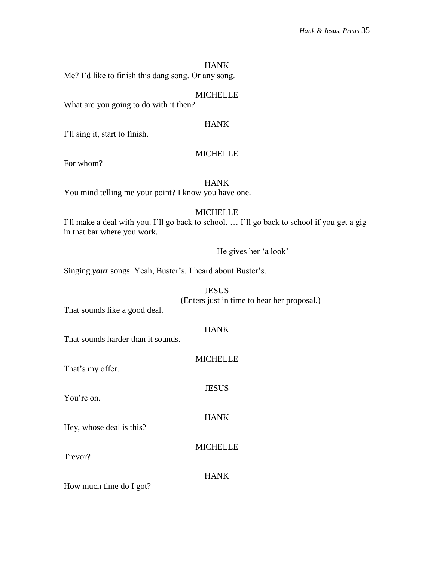Me? I'd like to finish this dang song. Or any song.

# **MICHELLE**

What are you going to do with it then?

# HANK

I'll sing it, start to finish.

# **MICHELLE**

For whom?

# HANK

You mind telling me your point? I know you have one.

# **MICHELLE**

I'll make a deal with you. I'll go back to school. … I'll go back to school if you get a gig in that bar where you work.

He gives her 'a look'

Singing *your* songs. Yeah, Buster's. I heard about Buster's.

**JESUS** (Enters just in time to hear her proposal.)

That sounds like a good deal.

#### HANK

That sounds harder than it sounds.

# MICHELLE

JESUS

HANK

MICHELLE

That's my offer.

You're on.

Hey, whose deal is this?

Trevor?

# HANK

How much time do I got?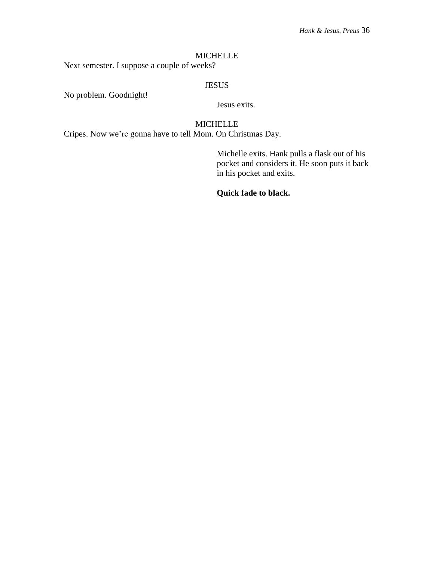#### MICHELLE

Next semester. I suppose a couple of weeks?

# JESUS

No problem. Goodnight!

Jesus exits.

# MICHELLE

Cripes. Now we're gonna have to tell Mom. On Christmas Day.

Michelle exits. Hank pulls a flask out of his pocket and considers it. He soon puts it back in his pocket and exits.

**Quick fade to black.**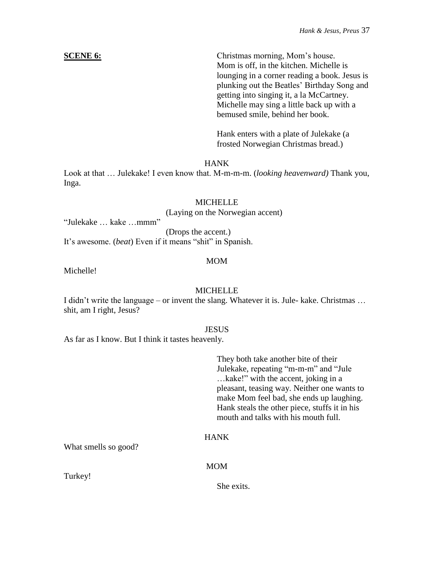**SCENE 6:** Christmas morning, Mom's house. Mom is off, in the kitchen. Michelle is lounging in a corner reading a book. Jesus is plunking out the Beatles' Birthday Song and getting into singing it, a la McCartney. Michelle may sing a little back up with a

> Hank enters with a plate of Julekake (a frosted Norwegian Christmas bread.)

bemused smile, behind her book.

# HANK

Look at that … Julekake! I even know that. M-m-m-m. (*looking heavenward)* Thank you, Inga.

# **MICHELLE**

(Laying on the Norwegian accent)

"Julekake … kake …mmm"

(Drops the accent.)

It's awesome. (*beat*) Even if it means "shit" in Spanish.

# MOM

Michelle!

**MICHELLE** 

I didn't write the language – or invent the slang. Whatever it is. Jule- kake. Christmas … shit, am I right, Jesus?

#### **JESUS**

As far as I know. But I think it tastes heavenly.

They both take another bite of their Julekake, repeating "m-m-m" and "Jule …kake!" with the accent, joking in a pleasant, teasing way. Neither one wants to make Mom feel bad, she ends up laughing. Hank steals the other piece, stuffs it in his mouth and talks with his mouth full.

# HANK

What smells so good?

# MOM

Turkey!

She exits.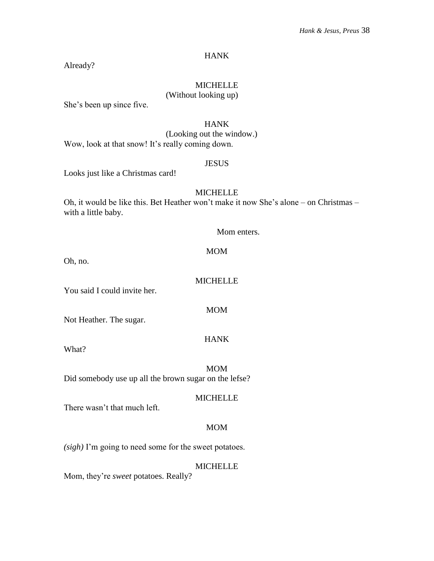Already?

# MICHELLE

# (Without looking up)

She's been up since five.

# HANK

(Looking out the window.) Wow, look at that snow! It's really coming down.

# JESUS

Looks just like a Christmas card!

#### **MICHELLE**

Oh, it would be like this. Bet Heather won't make it now She's alone – on Christmas – with a little baby.

#### Mom enters.

#### MOM

Oh, no.

MICHELLE

MOM

HANK

You said I could invite her.

Not Heather. The sugar.

What?

MOM

Did somebody use up all the brown sugar on the lefse?

MICHELLE

There wasn't that much left.

# MOM

*(sigh)* I'm going to need some for the sweet potatoes.

# MICHELLE

Mom, they're *sweet* potatoes. Really?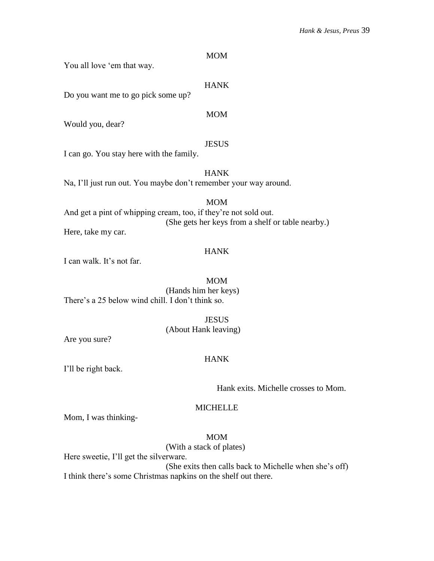### MOM

You all love 'em that way.

# HANK

Do you want me to go pick some up?

#### MOM

Would you, dear?

#### **JESUS**

I can go. You stay here with the family.

# HANK

Na, I'll just run out. You maybe don't remember your way around.

# MOM

And get a pint of whipping cream, too, if they're not sold out. (She gets her keys from a shelf or table nearby.) Here, take my car.

#### HANK

I can walk. It's not far.

#### MOM

(Hands him her keys) There's a 25 below wind chill. I don't think so.

#### **JESUS**

(About Hank leaving)

Are you sure?

#### HANK

I'll be right back.

Hank exits. Michelle crosses to Mom.

#### MICHELLE

Mom, I was thinking-

# MOM

(With a stack of plates)

Here sweetie, I'll get the silverware.

(She exits then calls back to Michelle when she's off) I think there's some Christmas napkins on the shelf out there.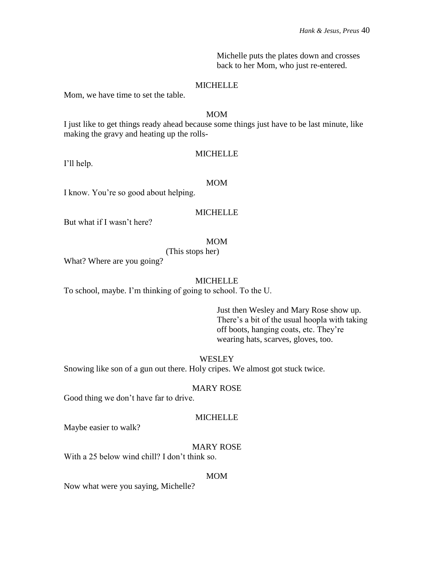Michelle puts the plates down and crosses back to her Mom, who just re-entered.

# MICHELLE

Mom, we have time to set the table.

### MOM

I just like to get things ready ahead because some things just have to be last minute, like making the gravy and heating up the rolls-

# **MICHELLE**

I'll help.

#### MOM

I know. You're so good about helping.

# MICHELLE

But what if I wasn't here?

# MOM

(This stops her)

What? Where are you going?

# MICHELLE

To school, maybe. I'm thinking of going to school. To the U.

Just then Wesley and Mary Rose show up. There's a bit of the usual hoopla with taking off boots, hanging coats, etc. They're wearing hats, scarves, gloves, too.

# **WESLEY**

Snowing like son of a gun out there. Holy cripes. We almost got stuck twice.

#### MARY ROSE

Good thing we don't have far to drive.

#### **MICHELLE**

Maybe easier to walk?

#### MARY ROSE

With a 25 below wind chill? I don't think so.

#### MOM

Now what were you saying, Michelle?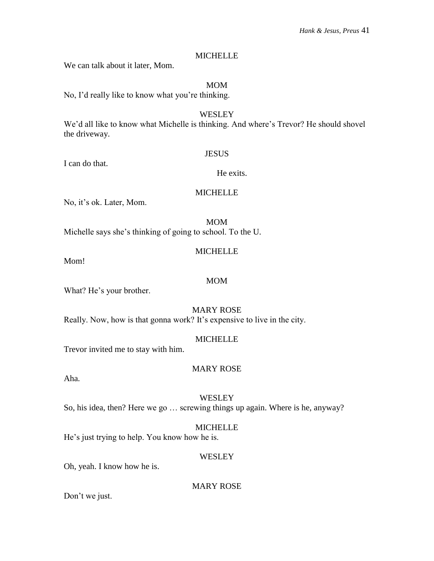# **MICHELLE**

We can talk about it later, Mom.

# MOM

No, I'd really like to know what you're thinking.

# WESLEY We'd all like to know what Michelle is thinking. And where's Trevor? He should shovel the driveway.

# **JESUS**

I can do that.

# He exits.

# MICHELLE

No, it's ok. Later, Mom.

MOM Michelle says she's thinking of going to school. To the U.

# **MICHELLE**

MOM

Mom!

What? He's your brother.

# MARY ROSE

Really. Now, how is that gonna work? It's expensive to live in the city.

# MICHELLE

Trevor invited me to stay with him.

# MARY ROSE

Aha.

# **WESLEY**

So, his idea, then? Here we go … screwing things up again. Where is he, anyway?

# MICHELLE

He's just trying to help. You know how he is.

# **WESLEY**

Oh, yeah. I know how he is.

MARY ROSE

Don't we just.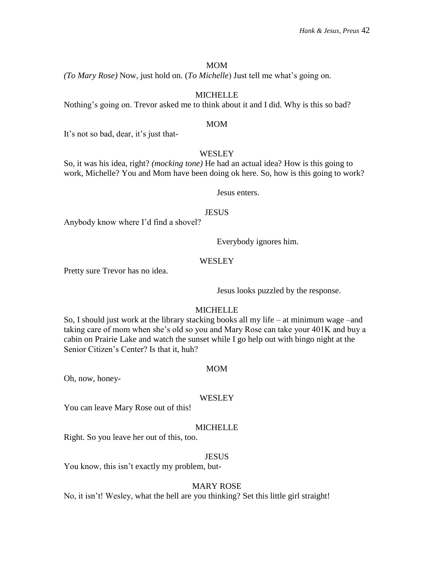#### MOM

*(To Mary Rose)* Now, just hold on. (*To Michelle*) Just tell me what's going on.

# **MICHELLE**

Nothing's going on. Trevor asked me to think about it and I did. Why is this so bad?

#### MOM

It's not so bad, dear, it's just that-

# WESLEY

So, it was his idea, right? *(mocking tone)* He had an actual idea? How is this going to work, Michelle? You and Mom have been doing ok here. So, how is this going to work?

Jesus enters.

#### **JESUS**

Anybody know where I'd find a shovel?

Everybody ignores him.

# **WESLEY**

Pretty sure Trevor has no idea.

Jesus looks puzzled by the response.

# MICHELLE

So, I should just work at the library stacking books all my life – at minimum wage –and taking care of mom when she's old so you and Mary Rose can take your 401K and buy a cabin on Prairie Lake and watch the sunset while I go help out with bingo night at the Senior Citizen's Center? Is that it, huh?

#### MOM

Oh, now, honey-

#### **WESLEY**

You can leave Mary Rose out of this!

#### MICHELLE

Right. So you leave her out of this, too.

# **JESUS**

You know, this isn't exactly my problem, but-

#### MARY ROSE

No, it isn't! Wesley, what the hell are you thinking? Set this little girl straight!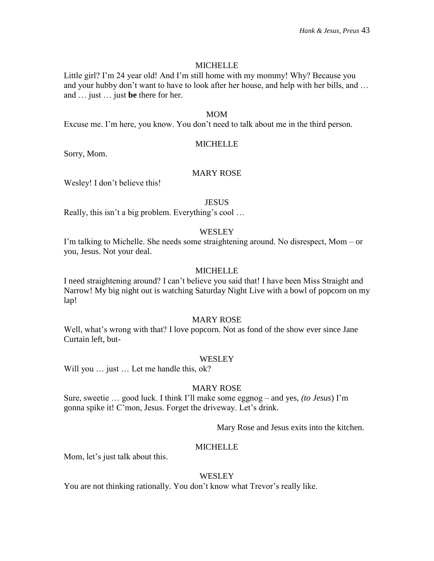# **MICHELLE**

Little girl? I'm 24 year old! And I'm still home with my mommy! Why? Because you and your hubby don't want to have to look after her house, and help with her bills, and … and … just … just **be** there for her.

#### MOM

Excuse me. I'm here, you know. You don't need to talk about me in the third person.

# MICHELLE

Sorry, Mom.

# MARY ROSE

Wesley! I don't believe this!

# **JESUS**

Really, this isn't a big problem. Everything's cool …

# **WESLEY**

I'm talking to Michelle. She needs some straightening around. No disrespect, Mom – or you, Jesus. Not your deal.

# **MICHELLE**

I need straightening around? I can't believe you said that! I have been Miss Straight and Narrow! My big night out is watching Saturday Night Live with a bowl of popcorn on my lap!

# MARY ROSE

Well, what's wrong with that? I love popcorn. Not as fond of the show ever since Jane Curtain left, but-

# **WESLEY**

Will you ... just ... Let me handle this, ok?

# MARY ROSE

Sure, sweetie … good luck. I think I'll make some eggnog – and yes, *(to Jesus*) I'm gonna spike it! C'mon, Jesus. Forget the driveway. Let's drink.

Mary Rose and Jesus exits into the kitchen.

#### MICHELLE

Mom, let's just talk about this.

#### **WESLEY**

You are not thinking rationally. You don't know what Trevor's really like.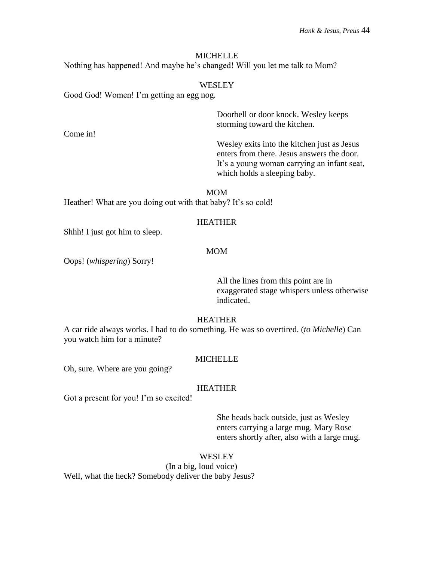# **MICHELLE**

Nothing has happened! And maybe he's changed! Will you let me talk to Mom?

### WESLEY

Good God! Women! I'm getting an egg nog.

Doorbell or door knock. Wesley keeps storming toward the kitchen.

Wesley exits into the kitchen just as Jesus enters from there. Jesus answers the door. It's a young woman carrying an infant seat, which holds a sleeping baby.

MOM Heather! What are you doing out with that baby? It's so cold!

# HEATHER

Shhh! I just got him to sleep.

Come in!

#### MOM

Oops! (*whispering*) Sorry!

All the lines from this point are in exaggerated stage whispers unless otherwise indicated.

# HEATHER

A car ride always works. I had to do something. He was so overtired. (*to Michelle*) Can you watch him for a minute?

#### MICHELLE

Oh, sure. Where are you going?

#### HEATHER

Got a present for you! I'm so excited!

She heads back outside, just as Wesley enters carrying a large mug. Mary Rose enters shortly after, also with a large mug.

## **WESLEY**

(In a big, loud voice)

Well, what the heck? Somebody deliver the baby Jesus?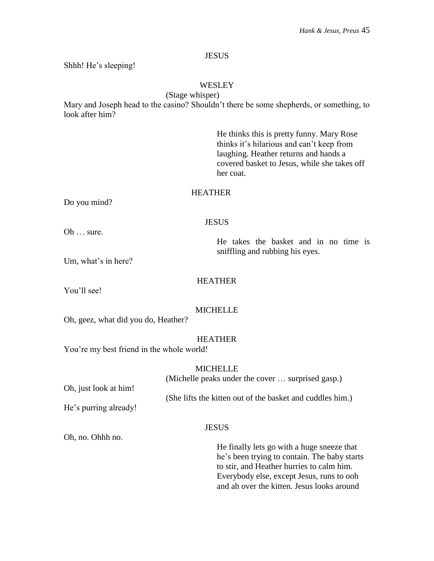# **JESUS**

Shhh! He's sleeping!

# WESLEY

(Stage whisper)

Mary and Joseph head to the casino? Shouldn't there be some shepherds, or something, to look after him?

> He thinks this is pretty funny. Mary Rose thinks it's hilarious and can't keep from laughing. Heather returns and hands a covered basket to Jesus, while she takes off her coat.

# **HEATHER**

Do you mind?

**JESUS** 

Oh … sure.

He takes the basket and in no time is sniffling and rubbing his eyes.

Um, what's in here?

# HEATHER

You'll see!

# **MICHELLE**

Oh, geez, what did you do, Heather?

# HEATHER

You're my best friend in the whole world!

|                       | <b>MICHELLE</b>                                           |
|-----------------------|-----------------------------------------------------------|
|                       | (Michelle peaks under the cover  surprised gasp.)         |
| Oh, just look at him! |                                                           |
|                       | (She lifts the kitten out of the basket and cuddles him.) |
| He's purring already! |                                                           |
|                       |                                                           |
|                       | <b>JESUS</b>                                              |
| Oh, no. Ohhh no.      |                                                           |

He finally lets go with a huge sneeze that he's been trying to contain. The baby starts to stir, and Heather hurries to calm him. Everybody else, except Jesus, runs to ooh and ah over the kitten. Jesus looks around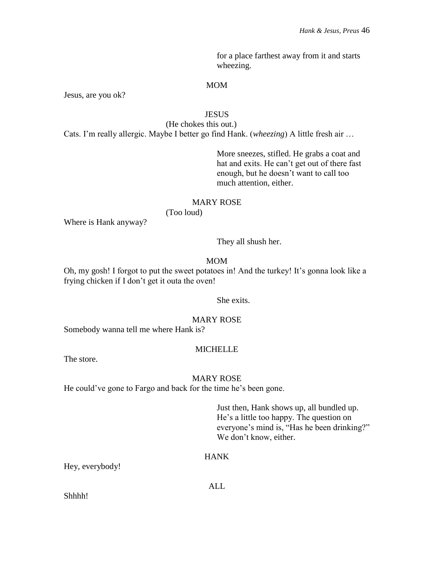for a place farthest away from it and starts wheezing.

### MOM

Jesus, are you ok?

# **JESUS**

(He chokes this out.) Cats. I'm really allergic. Maybe I better go find Hank. (*wheezing*) A little fresh air …

> More sneezes, stifled. He grabs a coat and hat and exits. He can't get out of there fast enough, but he doesn't want to call too much attention, either.

# MARY ROSE

(Too loud)

Where is Hank anyway?

They all shush her.

MOM

Oh, my gosh! I forgot to put the sweet potatoes in! And the turkey! It's gonna look like a frying chicken if I don't get it outa the oven!

# She exits.

# MARY ROSE

Somebody wanna tell me where Hank is?

#### **MICHELLE**

The store.

#### MARY ROSE

He could've gone to Fargo and back for the time he's been gone.

Just then, Hank shows up, all bundled up. He's a little too happy. The question on everyone's mind is, "Has he been drinking?" We don't know, either.

# HANK

Hey, everybody!

ALL

Shhhh!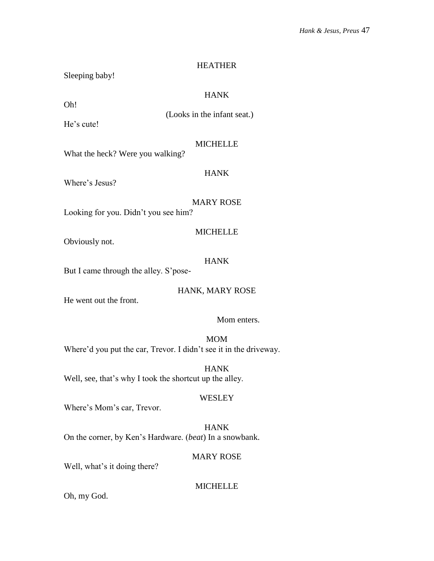#### HEATHER

Sleeping baby!

# HANK

Oh!

(Looks in the infant seat.)

He's cute!

#### MICHELLE

What the heck? Were you walking?

# HANK

Where's Jesus?

# MARY ROSE

MICHELLE

Looking for you. Didn't you see him?

Obviously not.

# HANK

But I came through the alley. S'pose-

# HANK, MARY ROSE

He went out the front.

# Mom enters.

MOM Where'd you put the car, Trevor. I didn't see it in the driveway.

HANK Well, see, that's why I took the shortcut up the alley.

# **WESLEY**

Where's Mom's car, Trevor.

HANK On the corner, by Ken's Hardware. (*beat*) In a snowbank.

# MARY ROSE

Well, what's it doing there?

# MICHELLE

Oh, my God.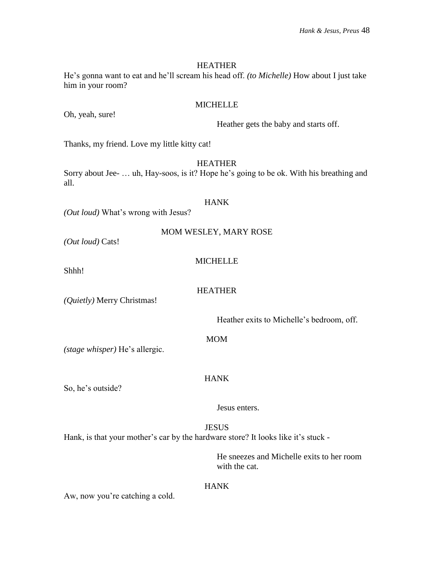#### HEATHER

He's gonna want to eat and he'll scream his head off. *(to Michelle)* How about I just take him in your room?

#### MICHELLE

Oh, yeah, sure!

Heather gets the baby and starts off.

Thanks, my friend. Love my little kitty cat!

HEATHER

Sorry about Jee- … uh, Hay-soos, is it? Hope he's going to be ok. With his breathing and all.

#### HANK

*(Out loud)* What's wrong with Jesus?

|  |  | MOM WESLEY, MARY ROSE |
|--|--|-----------------------|
|--|--|-----------------------|

*(Out loud)* Cats!

# MICHELLE

Shhh!

HEATHER

*(Quietly)* Merry Christmas!

Heather exits to Michelle's bedroom, off.

MOM

HANK

*(stage whisper)* He's allergic.

So, he's outside?

Jesus enters.

**JESUS** Hank, is that your mother's car by the hardware store? It looks like it's stuck -

> He sneezes and Michelle exits to her room with the cat.

# HANK

Aw, now you're catching a cold.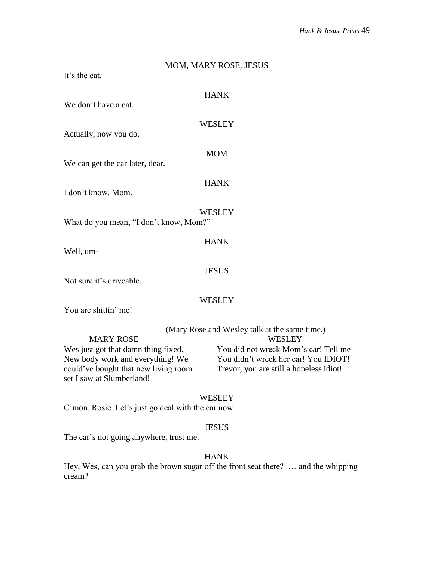# MOM, MARY ROSE, JESUS It's the cat. HANK We don't have a cat. **WESLEY** Actually, now you do. MOM We can get the car later, dear. HANK I don't know, Mom. **WESLEY** What do you mean, "I don't know, Mom?" HANK Well, um-**JESUS** Not sure it's driveable. **WESLEY** You are shittin' me! (Mary Rose and Wesley talk at the same time.) MARY ROSE WESLEY Wes just got that damn thing fixed. You did not wreck Mom's car! Tell me New body work and everything! We You didn't wreck her car! You IDIOT! could've bought that new living room Trevor, you are still a hopeless idiot! set I saw at Slumberland!

# **WESLEY**

C'mon, Rosie. Let's just go deal with the car now.

#### JESUS

The car's not going anywhere, trust me.

# HANK

Hey, Wes, can you grab the brown sugar off the front seat there? … and the whipping cream?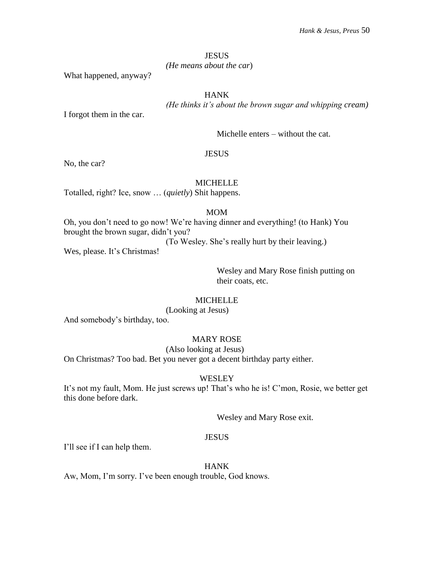#### **JESUS**

# *(He means about the car*)

What happened, anyway?

# HANK

*(He thinks it's about the brown sugar and whipping cream)*

I forgot them in the car.

Michelle enters – without the cat.

#### **JESUS**

No, the car?

# MICHELLE

Totalled, right? Ice, snow … (*quietly*) Shit happens.

# MOM

Oh, you don't need to go now! We're having dinner and everything! (to Hank) You brought the brown sugar, didn't you?

(To Wesley. She's really hurt by their leaving.)

Wes, please. It's Christmas!

Wesley and Mary Rose finish putting on their coats, etc.

# **MICHELLE**

(Looking at Jesus)

And somebody's birthday, too.

# MARY ROSE

# (Also looking at Jesus)

On Christmas? Too bad. Bet you never got a decent birthday party either.

# **WESLEY**

It's not my fault, Mom. He just screws up! That's who he is! C'mon, Rosie, we better get this done before dark.

Wesley and Mary Rose exit.

# **JESUS**

I'll see if I can help them.

#### HANK

Aw, Mom, I'm sorry. I've been enough trouble, God knows.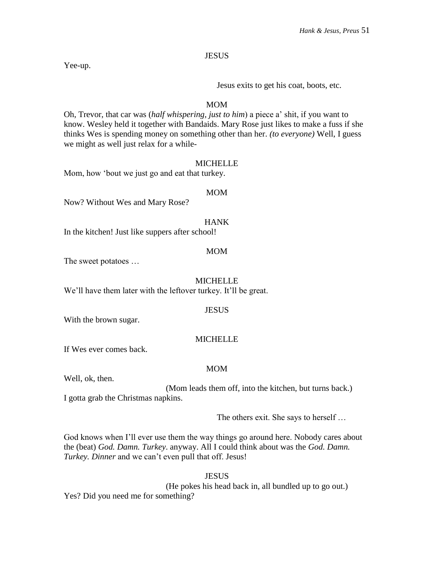**JESUS** 

Yee-up.

Jesus exits to get his coat, boots, etc.

# MOM

Oh, Trevor, that car was (*half whispering, just to him*) a piece a' shit, if you want to know. Wesley held it together with Bandaids. Mary Rose just likes to make a fuss if she thinks Wes is spending money on something other than her. *(to everyone)* Well, I guess we might as well just relax for a while-

# MICHELLE

Mom, how 'bout we just go and eat that turkey.

#### MOM

Now? Without Wes and Mary Rose?

# HANK

In the kitchen! Just like suppers after school!

#### MOM

The sweet potatoes …

### MICHELLE

We'll have them later with the leftover turkey. It'll be great.

#### **JESUS**

With the brown sugar.

# **MICHELLE**

If Wes ever comes back.

# MOM

Well, ok, then.

(Mom leads them off, into the kitchen, but turns back.) I gotta grab the Christmas napkins.

The others exit. She says to herself …

God knows when I'll ever use them the way things go around here. Nobody cares about the (beat) *God. Damn. Turkey*. anyway. All I could think about was the *God. Damn. Turkey. Dinner* and we can't even pull that off. Jesus!

**JESUS** (He pokes his head back in, all bundled up to go out.) Yes? Did you need me for something?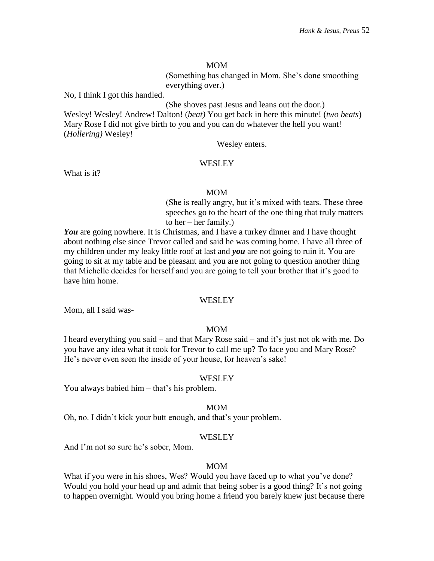#### MOM

(Something has changed in Mom. She's done smoothing everything over.)

No, I think I got this handled.

(She shoves past Jesus and leans out the door.)

Wesley! Wesley! Andrew! Dalton! (*beat)* You get back in here this minute! (*two beats*) Mary Rose I did not give birth to you and you can do whatever the hell you want! (*Hollering)* Wesley!

Wesley enters.

#### **WESLEY**

What is it?

#### MOM

(She is really angry, but it's mixed with tears. These three speeches go to the heart of the one thing that truly matters to her – her family.)

*You* are going nowhere. It is Christmas, and I have a turkey dinner and I have thought about nothing else since Trevor called and said he was coming home. I have all three of my children under my leaky little roof at last and *you* are not going to ruin it. You are going to sit at my table and be pleasant and you are not going to question another thing that Michelle decides for herself and you are going to tell your brother that it's good to have him home.

#### **WESLEY**

Mom, all I said was-

# MOM

I heard everything you said – and that Mary Rose said – and it's just not ok with me. Do you have any idea what it took for Trevor to call me up? To face you and Mary Rose? He's never even seen the inside of your house, for heaven's sake!

#### WESLEY

You always babied him – that's his problem.

#### MOM

Oh, no. I didn't kick your butt enough, and that's your problem.

# **WESLEY**

And I'm not so sure he's sober, Mom.

#### MOM

What if you were in his shoes, Wes? Would you have faced up to what you've done? Would you hold your head up and admit that being sober is a good thing? It's not going to happen overnight. Would you bring home a friend you barely knew just because there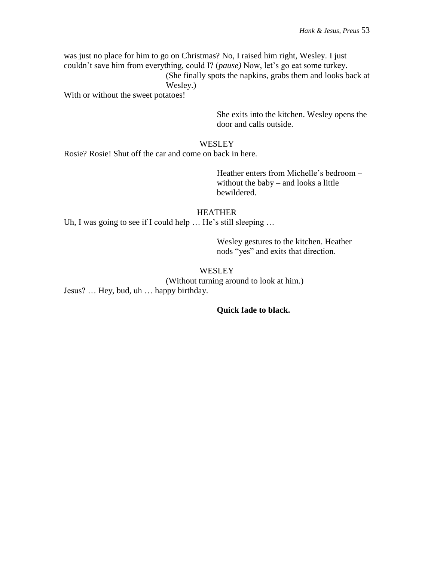was just no place for him to go on Christmas? No, I raised him right, Wesley. I just couldn't save him from everything, could I? (*pause)* Now, let's go eat some turkey. (She finally spots the napkins, grabs them and looks back at Wesley.)

With or without the sweet potatoes!

She exits into the kitchen. Wesley opens the door and calls outside.

# **WESLEY**

Rosie? Rosie! Shut off the car and come on back in here.

Heather enters from Michelle's bedroom – without the baby – and looks a little bewildered.

# HEATHER

Uh, I was going to see if I could help ... He's still sleeping ...

Wesley gestures to the kitchen. Heather nods "yes" and exits that direction.

# **WESLEY**

(Without turning around to look at him.) Jesus? … Hey, bud, uh … happy birthday.

# **Quick fade to black.**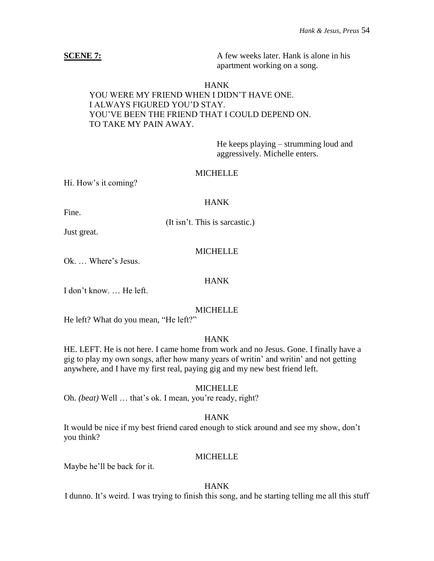**SCENE 7:** A few weeks later. Hank is alone in his apartment working on a song.

#### HANK

# YOU WERE MY FRIEND WHEN I DIDN'T HAVE ONE. I ALWAYS FIGURED YOU'D STAY. YOU'VE BEEN THE FRIEND THAT I COULD DEPEND ON. TO TAKE MY PAIN AWAY.

He keeps playing – strumming loud and aggressively. Michelle enters.

#### **MICHELLE**

Hi. How's it coming?

#### **HANK**

Fine.

(It isn't. This is sarcastic.)

Just great.

# **MICHELLE**

Ok. … Where's Jesus.

## HANK

I don't know. … He left.

#### MICHELLE

He left? What do you mean, "He left?"

# HANK

HE. LEFT. He is not here. I came home from work and no Jesus. Gone. I finally have a gig to play my own songs, after how many years of writin' and writin' and not getting anywhere, and I have my first real, paying gig and my new best friend left.

#### MICHELLE

Oh. *(beat)* Well … that's ok. I mean, you're ready, right?

# HANK

It would be nice if my best friend cared enough to stick around and see my show, don't you think?

## **MICHELLE**

Maybe he'll be back for it.

#### HANK

I dunno. It's weird. I was trying to finish this song, and he starting telling me all this stuff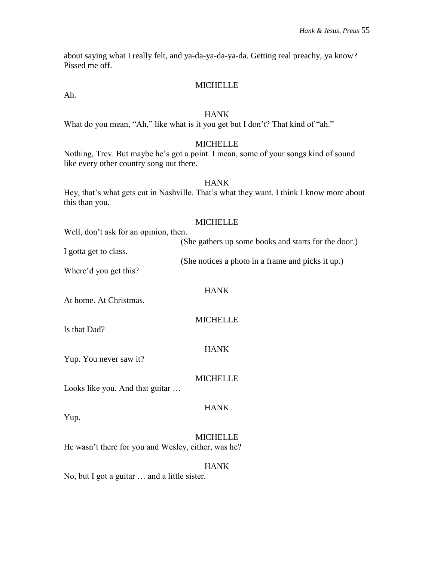about saying what I really felt, and ya-da-ya-da-ya-da. Getting real preachy, ya know? Pissed me off.

# MICHELLE

Ah.

### **HANK**

What do you mean, "Ah," like what is it you get but I don't? That kind of "ah."

# **MICHELLE**

Nothing, Trev. But maybe he's got a point. I mean, some of your songs kind of sound like every other country song out there.

# HANK

Hey, that's what gets cut in Nashville. That's what they want. I think I know more about this than you.

# **MICHELLE**

| Well, don't ask for an opinion, then. |                                                      |
|---------------------------------------|------------------------------------------------------|
|                                       | (She gathers up some books and starts for the door.) |
| I gotta get to class.                 |                                                      |
|                                       | (She notices a photo in a frame and picks it up.)    |

Where'd you get this?

At home. At Christmas.

**MICHELLE** 

HANK

Is that Dad?

Yup.

HANK

Yup. You never saw it?

# MICHELLE

HANK

Looks like you. And that guitar …

**MICHELLE** He wasn't there for you and Wesley, either, was he?

# HANK

No, but I got a guitar … and a little sister.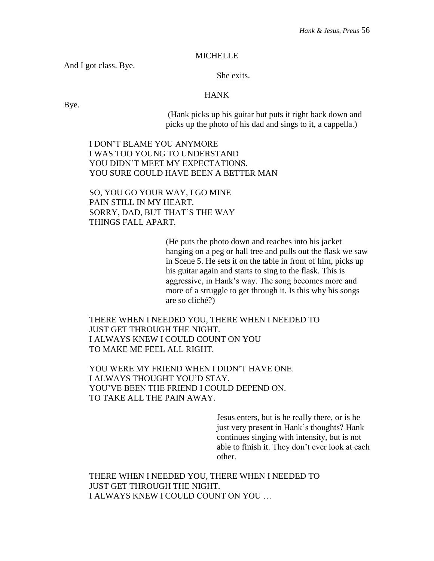#### **MICHELLE**

And I got class. Bye.

She exits.

# HANK

Bye.

(Hank picks up his guitar but puts it right back down and picks up the photo of his dad and sings to it, a cappella.)

I DON'T BLAME YOU ANYMORE I WAS TOO YOUNG TO UNDERSTAND YOU DIDN'T MEET MY EXPECTATIONS. YOU SURE COULD HAVE BEEN A BETTER MAN

SO, YOU GO YOUR WAY, I GO MINE PAIN STILL IN MY HEART. SORRY, DAD, BUT THAT'S THE WAY THINGS FALL APART.

> (He puts the photo down and reaches into his jacket hanging on a peg or hall tree and pulls out the flask we saw in Scene 5. He sets it on the table in front of him, picks up his guitar again and starts to sing to the flask. This is aggressive, in Hank's way. The song becomes more and more of a struggle to get through it. Is this why his songs are so cliché?)

THERE WHEN I NEEDED YOU, THERE WHEN I NEEDED TO JUST GET THROUGH THE NIGHT. I ALWAYS KNEW I COULD COUNT ON YOU TO MAKE ME FEEL ALL RIGHT.

YOU WERE MY FRIEND WHEN I DIDN'T HAVE ONE. I ALWAYS THOUGHT YOU'D STAY. YOU'VE BEEN THE FRIEND I COULD DEPEND ON. TO TAKE ALL THE PAIN AWAY.

> Jesus enters, but is he really there, or is he just very present in Hank's thoughts? Hank continues singing with intensity, but is not able to finish it. They don't ever look at each other.

THERE WHEN I NEEDED YOU, THERE WHEN I NEEDED TO JUST GET THROUGH THE NIGHT. I ALWAYS KNEW I COULD COUNT ON YOU …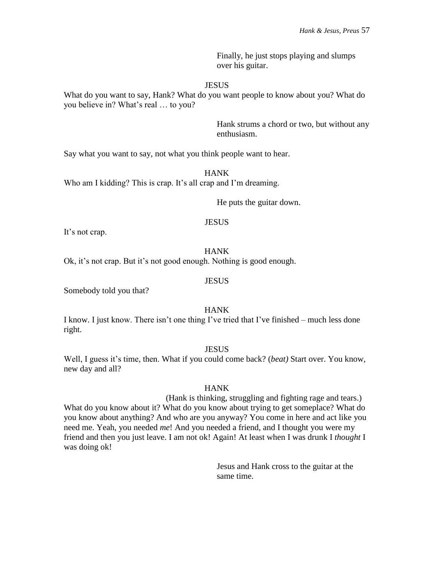Finally, he just stops playing and slumps over his guitar.

#### **JESUS**

What do you want to say, Hank? What do you want people to know about you? What do you believe in? What's real … to you?

> Hank strums a chord or two, but without any enthusiasm.

Say what you want to say, not what you think people want to hear.

HANK

Who am I kidding? This is crap. It's all crap and I'm dreaming.

He puts the guitar down.

#### **JESUS**

It's not crap.

#### **HANK**

Ok, it's not crap. But it's not good enough. Nothing is good enough.

#### **JESUS**

Somebody told you that?

#### HANK

I know. I just know. There isn't one thing I've tried that I've finished – much less done right.

#### **JESUS**

Well, I guess it's time, then. What if you could come back? (*beat)* Start over. You know, new day and all?

#### HANK

(Hank is thinking, struggling and fighting rage and tears.) What do you know about it? What do you know about trying to get someplace? What do you know about anything? And who are you anyway? You come in here and act like you need me. Yeah, you needed *me*! And you needed a friend, and I thought you were my friend and then you just leave. I am not ok! Again! At least when I was drunk I *thought* I was doing ok!

> Jesus and Hank cross to the guitar at the same time.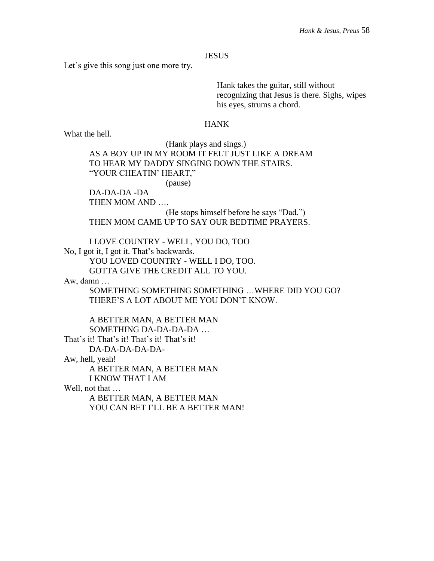### **JESUS**

Let's give this song just one more try.

Hank takes the guitar, still without recognizing that Jesus is there. Sighs, wipes his eyes, strums a chord.

#### HANK

What the hell.

(Hank plays and sings.)

AS A BOY UP IN MY ROOM IT FELT JUST LIKE A DREAM TO HEAR MY DADDY SINGING DOWN THE STAIRS. "YOUR CHEATIN' HEART,"

(pause)

DA-DA-DA -DA

THEN MOM AND ….

(He stops himself before he says "Dad.") THEN MOM CAME UP TO SAY OUR BEDTIME PRAYERS.

I LOVE COUNTRY - WELL, YOU DO, TOO No, I got it, I got it. That's backwards. YOU LOVED COUNTRY - WELL I DO, TOO. GOTTA GIVE THE CREDIT ALL TO YOU.

Aw, damn …

SOMETHING SOMETHING SOMETHING …WHERE DID YOU GO? THERE'S A LOT ABOUT ME YOU DON'T KNOW.

A BETTER MAN, A BETTER MAN SOMETHING DA-DA-DA-DA … That's it! That's it! That's it! That's it! DA-DA-DA-DA-DA-Aw, hell, yeah! A BETTER MAN, A BETTER MAN I KNOW THAT I AM Well, not that ...

> A BETTER MAN, A BETTER MAN YOU CAN BET I'LL BE A BETTER MAN!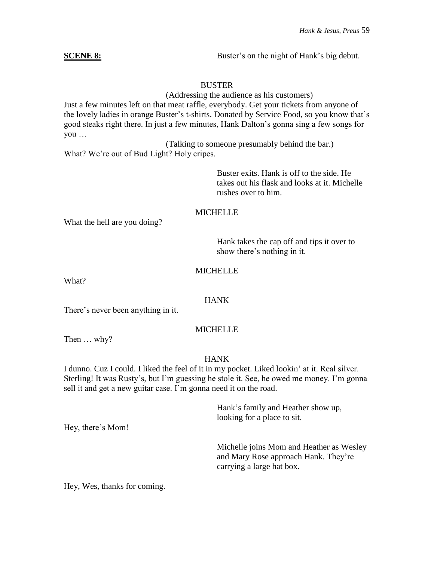**SCENE 8:** Buster's on the night of Hank's big debut.

# BUSTER

(Addressing the audience as his customers) Just a few minutes left on that meat raffle, everybody. Get your tickets from anyone of the lovely ladies in orange Buster's t-shirts. Donated by Service Food, so you know that's

good steaks right there. In just a few minutes, Hank Dalton's gonna sing a few songs for you …

(Talking to someone presumably behind the bar.) What? We're out of Bud Light? Holy cripes.

> Buster exits. Hank is off to the side. He takes out his flask and looks at it. Michelle rushes over to him.

# MICHELLE

What the hell are you doing?

Hank takes the cap off and tips it over to show there's nothing in it.

# **MICHELLE**

What?

# HANK

There's never been anything in it.

# MICHELLE

Then … why?

# HANK

I dunno. Cuz I could. I liked the feel of it in my pocket. Liked lookin' at it. Real silver. Sterling! It was Rusty's, but I'm guessing he stole it. See, he owed me money. I'm gonna sell it and get a new guitar case. I'm gonna need it on the road.

> Hank's family and Heather show up, looking for a place to sit.

Michelle joins Mom and Heather as Wesley and Mary Rose approach Hank. They're carrying a large hat box.

Hey, there's Mom!

Hey, Wes, thanks for coming.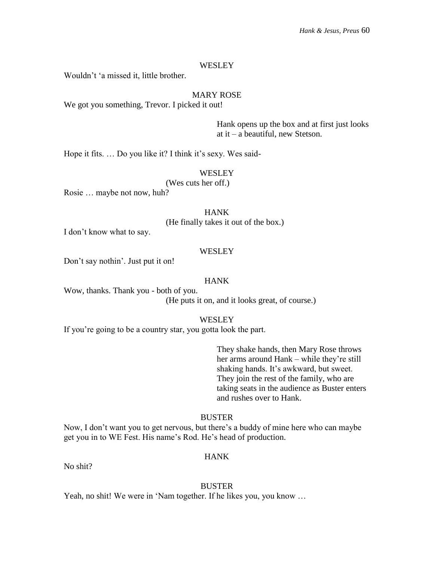#### **WESLEY**

Wouldn't 'a missed it, little brother.

# MARY ROSE

We got you something, Trevor. I picked it out!

Hank opens up the box and at first just looks at it – a beautiful, new Stetson.

Hope it fits. … Do you like it? I think it's sexy. Wes said-

#### **WESLEY**

(Wes cuts her off.)

Rosie … maybe not now, huh?

HANK

(He finally takes it out of the box.)

I don't know what to say.

#### WESLEY

Don't say nothin'. Just put it on!

#### HANK

Wow, thanks. Thank you - both of you. (He puts it on, and it looks great, of course.)

#### WESLEY

If you're going to be a country star, you gotta look the part.

They shake hands, then Mary Rose throws her arms around Hank – while they're still shaking hands. It's awkward, but sweet. They join the rest of the family, who are taking seats in the audience as Buster enters and rushes over to Hank.

#### **BUSTER**

Now, I don't want you to get nervous, but there's a buddy of mine here who can maybe get you in to WE Fest. His name's Rod. He's head of production.

# HANK

No shit?

#### BUSTER

Yeah, no shit! We were in 'Nam together. If he likes you, you know …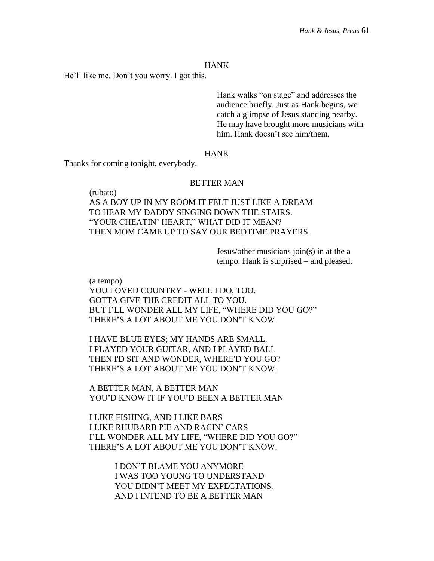He'll like me. Don't you worry. I got this.

Hank walks "on stage" and addresses the audience briefly. Just as Hank begins, we catch a glimpse of Jesus standing nearby. He may have brought more musicians with him. Hank doesn't see him/them.

## **HANK**

Thanks for coming tonight, everybody.

(rubato)

# BETTER MAN

AS A BOY UP IN MY ROOM IT FELT JUST LIKE A DREAM TO HEAR MY DADDY SINGING DOWN THE STAIRS. "YOUR CHEATIN' HEART," WHAT DID IT MEAN? THEN MOM CAME UP TO SAY OUR BEDTIME PRAYERS.

> Jesus/other musicians join(s) in at the a tempo. Hank is surprised – and pleased.

(a tempo) YOU LOVED COUNTRY - WELL I DO, TOO. GOTTA GIVE THE CREDIT ALL TO YOU. BUT I'LL WONDER ALL MY LIFE, "WHERE DID YOU GO?" THERE'S A LOT ABOUT ME YOU DON'T KNOW.

I HAVE BLUE EYES; MY HANDS ARE SMALL. I PLAYED YOUR GUITAR, AND I PLAYED BALL THEN I'D SIT AND WONDER, WHERE'D YOU GO? THERE'S A LOT ABOUT ME YOU DON'T KNOW.

A BETTER MAN, A BETTER MAN YOU'D KNOW IT IF YOU'D BEEN A BETTER MAN

I LIKE FISHING, AND I LIKE BARS I LIKE RHUBARB PIE AND RACIN' CARS I'LL WONDER ALL MY LIFE, "WHERE DID YOU GO?" THERE'S A LOT ABOUT ME YOU DON'T KNOW.

> I DON'T BLAME YOU ANYMORE I WAS TOO YOUNG TO UNDERSTAND YOU DIDN'T MEET MY EXPECTATIONS. AND I INTEND TO BE A BETTER MAN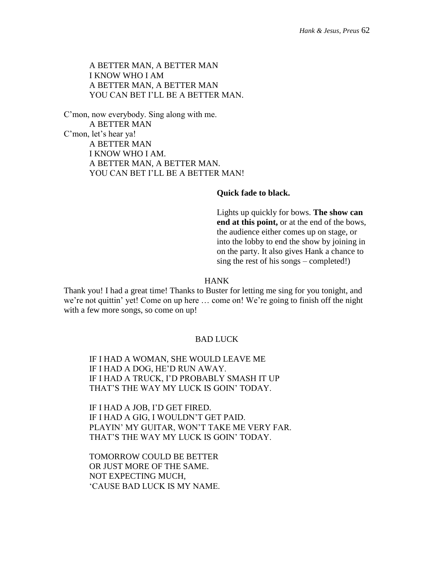A BETTER MAN, A BETTER MAN I KNOW WHO I AM A BETTER MAN, A BETTER MAN YOU CAN BET I'LL BE A BETTER MAN.

C'mon, now everybody. Sing along with me. A BETTER MAN C'mon, let's hear ya! A BETTER MAN I KNOW WHO I AM. A BETTER MAN, A BETTER MAN. YOU CAN BET I'LL BE A BETTER MAN!

#### **Quick fade to black.**

Lights up quickly for bows. **The show can end at this point,** or at the end of the bows, the audience either comes up on stage, or into the lobby to end the show by joining in on the party. It also gives Hank a chance to sing the rest of his songs – completed!)

#### HANK

Thank you! I had a great time! Thanks to Buster for letting me sing for you tonight, and we're not quittin' yet! Come on up here … come on! We're going to finish off the night with a few more songs, so come on up!

# BAD LUCK

IF I HAD A WOMAN, SHE WOULD LEAVE ME IF I HAD A DOG, HE'D RUN AWAY. IF I HAD A TRUCK, I'D PROBABLY SMASH IT UP THAT'S THE WAY MY LUCK IS GOIN' TODAY.

IF I HAD A JOB, I'D GET FIRED. IF I HAD A GIG, I WOULDN'T GET PAID. PLAYIN' MY GUITAR, WON'T TAKE ME VERY FAR. THAT'S THE WAY MY LUCK IS GOIN' TODAY.

TOMORROW COULD BE BETTER OR JUST MORE OF THE SAME. NOT EXPECTING MUCH, 'CAUSE BAD LUCK IS MY NAME.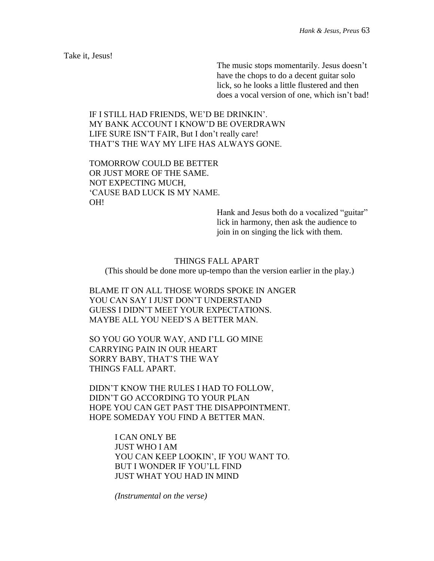Take it, Jesus!

The music stops momentarily. Jesus doesn't have the chops to do a decent guitar solo lick, so he looks a little flustered and then does a vocal version of one, which isn't bad!

IF I STILL HAD FRIENDS, WE'D BE DRINKIN'. MY BANK ACCOUNT I KNOW'D BE OVERDRAWN LIFE SURE ISN'T FAIR, But I don't really care! THAT'S THE WAY MY LIFE HAS ALWAYS GONE.

TOMORROW COULD BE BETTER OR JUST MORE OF THE SAME. NOT EXPECTING MUCH, 'CAUSE BAD LUCK IS MY NAME. OH!

> Hank and Jesus both do a vocalized "guitar" lick in harmony, then ask the audience to join in on singing the lick with them.

THINGS FALL APART (This should be done more up-tempo than the version earlier in the play.)

BLAME IT ON ALL THOSE WORDS SPOKE IN ANGER YOU CAN SAY I JUST DON'T UNDERSTAND GUESS I DIDN'T MEET YOUR EXPECTATIONS. MAYBE ALL YOU NEED'S A BETTER MAN.

SO YOU GO YOUR WAY, AND I'LL GO MINE CARRYING PAIN IN OUR HEART SORRY BABY, THAT'S THE WAY THINGS FALL APART.

DIDN'T KNOW THE RULES I HAD TO FOLLOW, DIDN'T GO ACCORDING TO YOUR PLAN HOPE YOU CAN GET PAST THE DISAPPOINTMENT. HOPE SOMEDAY YOU FIND A BETTER MAN.

> I CAN ONLY BE JUST WHO I AM YOU CAN KEEP LOOKIN', IF YOU WANT TO. BUT I WONDER IF YOU'LL FIND JUST WHAT YOU HAD IN MIND

*(Instrumental on the verse)*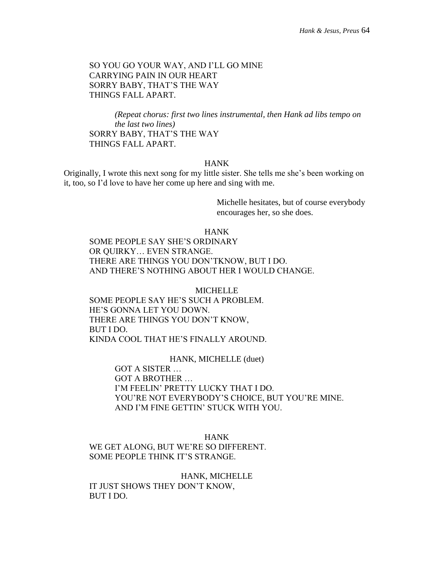# SO YOU GO YOUR WAY, AND I'LL GO MINE CARRYING PAIN IN OUR HEART SORRY BABY, THAT'S THE WAY THINGS FALL APART.

*(Repeat chorus: first two lines instrumental, then Hank ad libs tempo on the last two lines)* SORRY BABY, THAT'S THE WAY THINGS FALL APART.

# HANK

Originally, I wrote this next song for my little sister. She tells me she's been working on it, too, so I'd love to have her come up here and sing with me.

> Michelle hesitates, but of course everybody encourages her, so she does.

HANK

SOME PEOPLE SAY SHE'S ORDINARY OR QUIRKY… EVEN STRANGE. THERE ARE THINGS YOU DON'TKNOW, BUT I DO. AND THERE'S NOTHING ABOUT HER I WOULD CHANGE.

MICHELLE SOME PEOPLE SAY HE'S SUCH A PROBLEM. HE'S GONNA LET YOU DOWN. THERE ARE THINGS YOU DON'T KNOW, BUT I DO. KINDA COOL THAT HE'S FINALLY AROUND.

# HANK, MICHELLE (duet)

GOT A SISTER … GOT A BROTHER … I'M FEELIN' PRETTY LUCKY THAT I DO. YOU'RE NOT EVERYBODY'S CHOICE, BUT YOU'RE MINE. AND I'M FINE GETTIN' STUCK WITH YOU.

HANK

WE GET ALONG, BUT WE'RE SO DIFFERENT. SOME PEOPLE THINK IT'S STRANGE.

HANK, MICHELLE IT JUST SHOWS THEY DON'T KNOW, BUT I DO.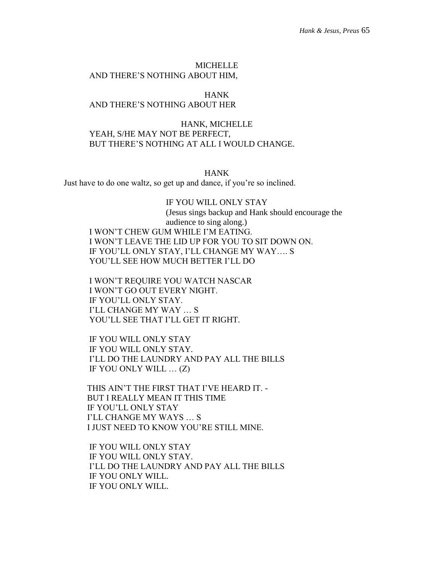# MICHELLE AND THERE'S NOTHING ABOUT HIM,

# HANK AND THERE'S NOTHING ABOUT HER

# HANK, MICHELLE YEAH, S/HE MAY NOT BE PERFECT, BUT THERE'S NOTHING AT ALL I WOULD CHANGE.

#### HANK

Just have to do one waltz, so get up and dance, if you're so inclined.

# IF YOU WILL ONLY STAY

(Jesus sings backup and Hank should encourage the audience to sing along.) I WON'T CHEW GUM WHILE I'M EATING. I WON'T LEAVE THE LID UP FOR YOU TO SIT DOWN ON. IF YOU'LL ONLY STAY, I'LL CHANGE MY WAY…. S YOU'LL SEE HOW MUCH BETTER I'LL DO

I WON'T REQUIRE YOU WATCH NASCAR I WON'T GO OUT EVERY NIGHT. IF YOU'LL ONLY STAY. I'LL CHANGE MY WAY … S YOU'LL SEE THAT I'LL GET IT RIGHT.

IF YOU WILL ONLY STAY IF YOU WILL ONLY STAY. I'LL DO THE LAUNDRY AND PAY ALL THE BILLS IF YOU ONLY WILL … (Z)

 THIS AIN'T THE FIRST THAT I'VE HEARD IT. - BUT I REALLY MEAN IT THIS TIME IF YOU'LL ONLY STAY I'LL CHANGE MY WAYS … S I JUST NEED TO KNOW YOU'RE STILL MINE.

IF YOU WILL ONLY STAY IF YOU WILL ONLY STAY. I'LL DO THE LAUNDRY AND PAY ALL THE BILLS IF YOU ONLY WILL. IF YOU ONLY WILL.